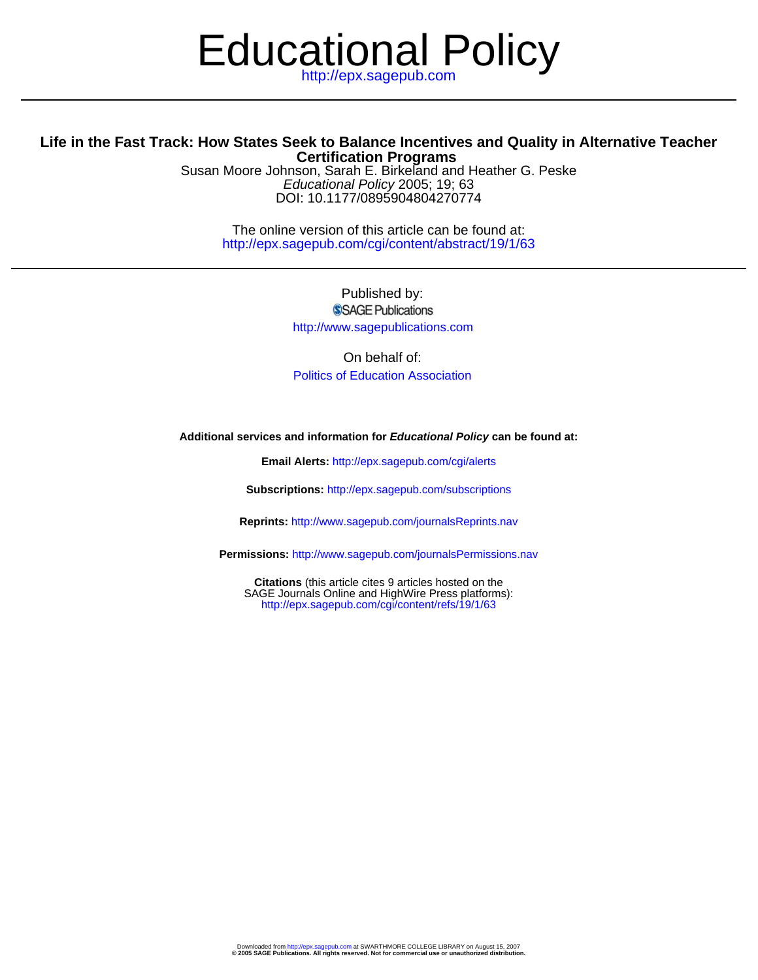# Educational Policy

### **Certification Programs Life in the Fast Track: How States Seek to Balance Incentives and Quality in Alternative Teacher**

DOI: 10.1177/0895904804270774 Educational Policy 2005; 19; 63 Susan Moore Johnson, Sarah E. Birkeland and Heather G. Peske

> http://epx.sagepub.com/cgi/content/abstract/19/1/63 The online version of this article can be found at:

> > Published by: **SSAGE Publications** http://www.sagepublications.com

On behalf of: [Politics of Education Association](http://www.fsu.edu/~pea/)

#### **Additional services and information for Educational Policy can be found at:**

**Email Alerts:** <http://epx.sagepub.com/cgi/alerts>

**Subscriptions:** <http://epx.sagepub.com/subscriptions>

**Reprints:** <http://www.sagepub.com/journalsReprints.nav>

**Permissions:** <http://www.sagepub.com/journalsPermissions.nav>

<http://epx.sagepub.com/cgi/content/refs/19/1/63> SAGE Journals Online and HighWire Press platforms): **Citations** (this article cites 9 articles hosted on the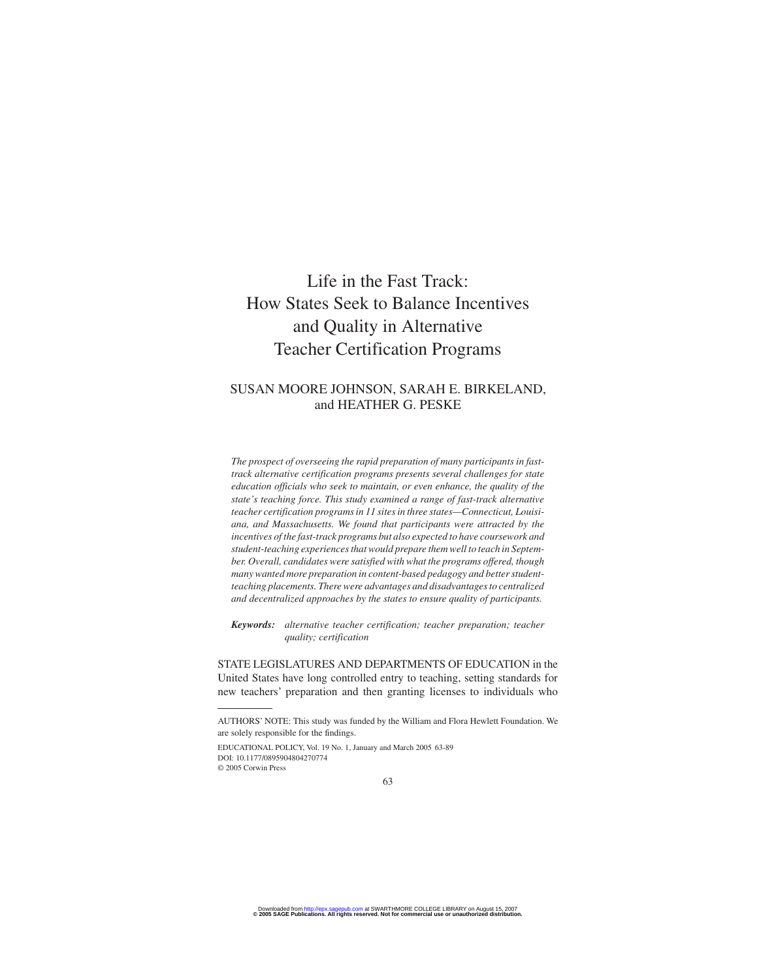## Life in the Fast Track: How States Seek to Balance Incentives and Quality in Alternative Teacher Certification Programs

#### SUSAN MOORE JOHNSON, SARAH E. BIRKELAND, and HEATHER G. PESKE

*The prospect of overseeing the rapid preparation of many participants in fasttrack alternative certification programs presents several challenges for state education officials who seek to maintain, or even enhance, the quality of the state's teaching force. This study examined a range of fast-track alternative teacher certification programs in 11 sites in three states—Connecticut, Louisiana, and Massachusetts. We found that participants were attracted by the incentives of the fast-track programs but also expected to have coursework and student-teaching experiences that would prepare them well to teach in September. Overall, candidates were satisfied with what the programs offered, though many wanted more preparation in content-based pedagogy and better studentteaching placements. There were advantages and disadvantages to centralized and decentralized approaches by the states to ensure quality of participants.*

*Keywords: alternative teacher certification; teacher preparation; teacher quality; certification*

STATE LEGISLATURES AND DEPARTMENTS OF EDUCATION in the United States have long controlled entry to teaching, setting standards for new teachers' preparation and then granting licenses to individuals who

EDUCATIONAL POLICY, Vol. 19 No. 1, January and March 2005 63-89 DOI: 10.1177/0895904804270774 © 2005 Corwin Press

AUTHORS' NOTE: This study was funded by the William and Flora Hewlett Foundation. We are solely responsible for the findings.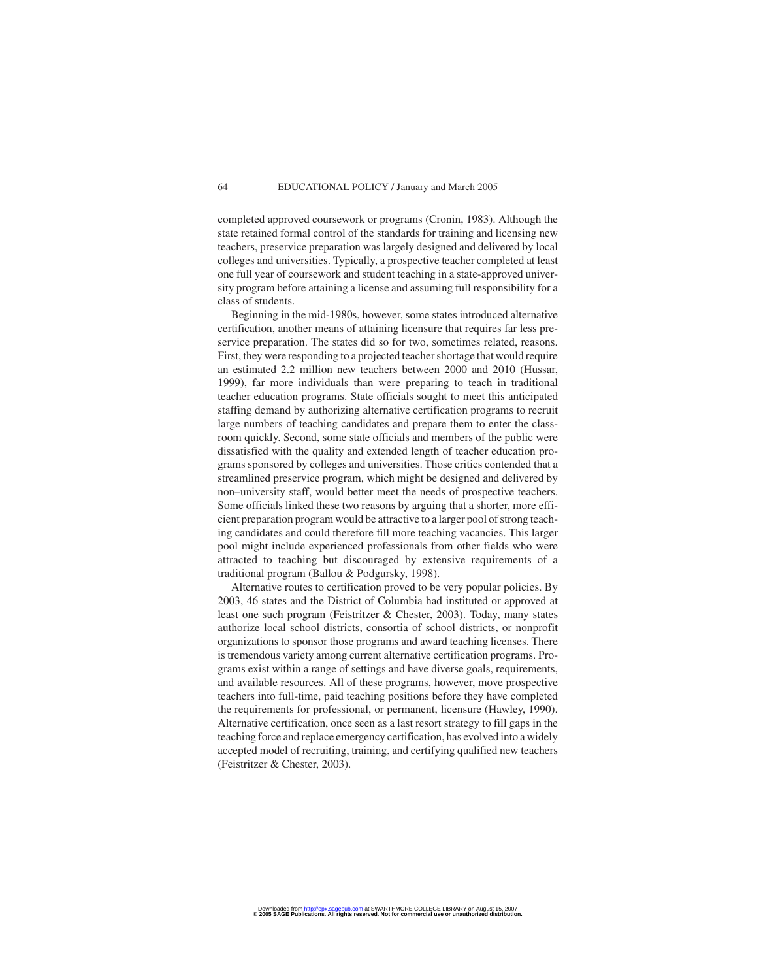completed approved coursework or programs (Cronin, 1983). Although the state retained formal control of the standards for training and licensing new teachers, preservice preparation was largely designed and delivered by local colleges and universities. Typically, a prospective teacher completed at least one full year of coursework and student teaching in a state-approved university program before attaining a license and assuming full responsibility for a class of students.

Beginning in the mid-1980s, however, some states introduced alternative certification, another means of attaining licensure that requires far less preservice preparation. The states did so for two, sometimes related, reasons. First, they were responding to a projected teacher shortage that would require an estimated 2.2 million new teachers between 2000 and 2010 (Hussar, 1999), far more individuals than were preparing to teach in traditional teacher education programs. State officials sought to meet this anticipated staffing demand by authorizing alternative certification programs to recruit large numbers of teaching candidates and prepare them to enter the classroom quickly. Second, some state officials and members of the public were dissatisfied with the quality and extended length of teacher education programs sponsored by colleges and universities. Those critics contended that a streamlined preservice program, which might be designed and delivered by non–university staff, would better meet the needs of prospective teachers. Some officials linked these two reasons by arguing that a shorter, more efficient preparation program would be attractive to a larger pool of strong teaching candidates and could therefore fill more teaching vacancies. This larger pool might include experienced professionals from other fields who were attracted to teaching but discouraged by extensive requirements of a traditional program (Ballou & Podgursky, 1998).

Alternative routes to certification proved to be very popular policies. By 2003, 46 states and the District of Columbia had instituted or approved at least one such program (Feistritzer & Chester, 2003). Today, many states authorize local school districts, consortia of school districts, or nonprofit organizations to sponsor those programs and award teaching licenses. There is tremendous variety among current alternative certification programs. Programs exist within a range of settings and have diverse goals, requirements, and available resources. All of these programs, however, move prospective teachers into full-time, paid teaching positions before they have completed the requirements for professional, or permanent, licensure (Hawley, 1990). Alternative certification, once seen as a last resort strategy to fill gaps in the teaching force and replace emergency certification, has evolved into a widely accepted model of recruiting, training, and certifying qualified new teachers (Feistritzer & Chester, 2003).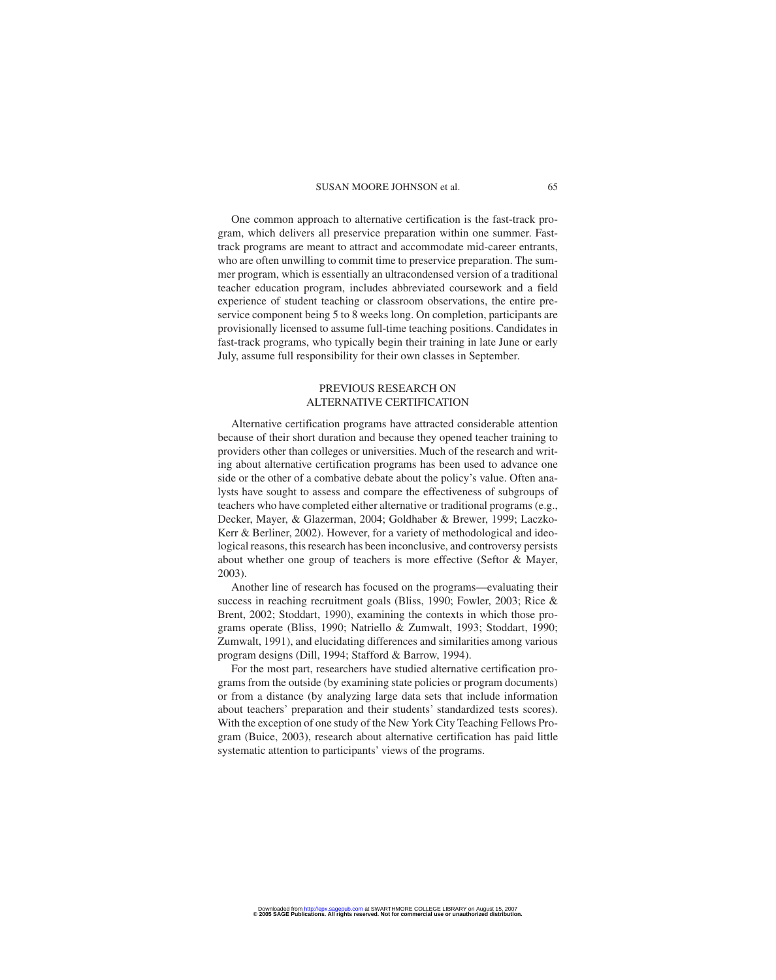One common approach to alternative certification is the fast-track program, which delivers all preservice preparation within one summer. Fasttrack programs are meant to attract and accommodate mid-career entrants, who are often unwilling to commit time to preservice preparation. The summer program, which is essentially an ultracondensed version of a traditional teacher education program, includes abbreviated coursework and a field experience of student teaching or classroom observations, the entire preservice component being 5 to 8 weeks long. On completion, participants are provisionally licensed to assume full-time teaching positions. Candidates in fast-track programs, who typically begin their training in late June or early July, assume full responsibility for their own classes in September.

#### PREVIOUS RESEARCH ON ALTERNATIVE CERTIFICATION

Alternative certification programs have attracted considerable attention because of their short duration and because they opened teacher training to providers other than colleges or universities. Much of the research and writing about alternative certification programs has been used to advance one side or the other of a combative debate about the policy's value. Often analysts have sought to assess and compare the effectiveness of subgroups of teachers who have completed either alternative or traditional programs (e.g., Decker, Mayer, & Glazerman, 2004; Goldhaber & Brewer, 1999; Laczko-Kerr & Berliner, 2002). However, for a variety of methodological and ideological reasons, this research has been inconclusive, and controversy persists about whether one group of teachers is more effective (Seftor & Mayer, 2003).

Another line of research has focused on the programs—evaluating their success in reaching recruitment goals (Bliss, 1990; Fowler, 2003; Rice & Brent, 2002; Stoddart, 1990), examining the contexts in which those programs operate (Bliss, 1990; Natriello & Zumwalt, 1993; Stoddart, 1990; Zumwalt, 1991), and elucidating differences and similarities among various program designs (Dill, 1994; Stafford & Barrow, 1994).

For the most part, researchers have studied alternative certification programs from the outside (by examining state policies or program documents) or from a distance (by analyzing large data sets that include information about teachers' preparation and their students' standardized tests scores). With the exception of one study of the New York City Teaching Fellows Program (Buice, 2003), research about alternative certification has paid little systematic attention to participants' views of the programs.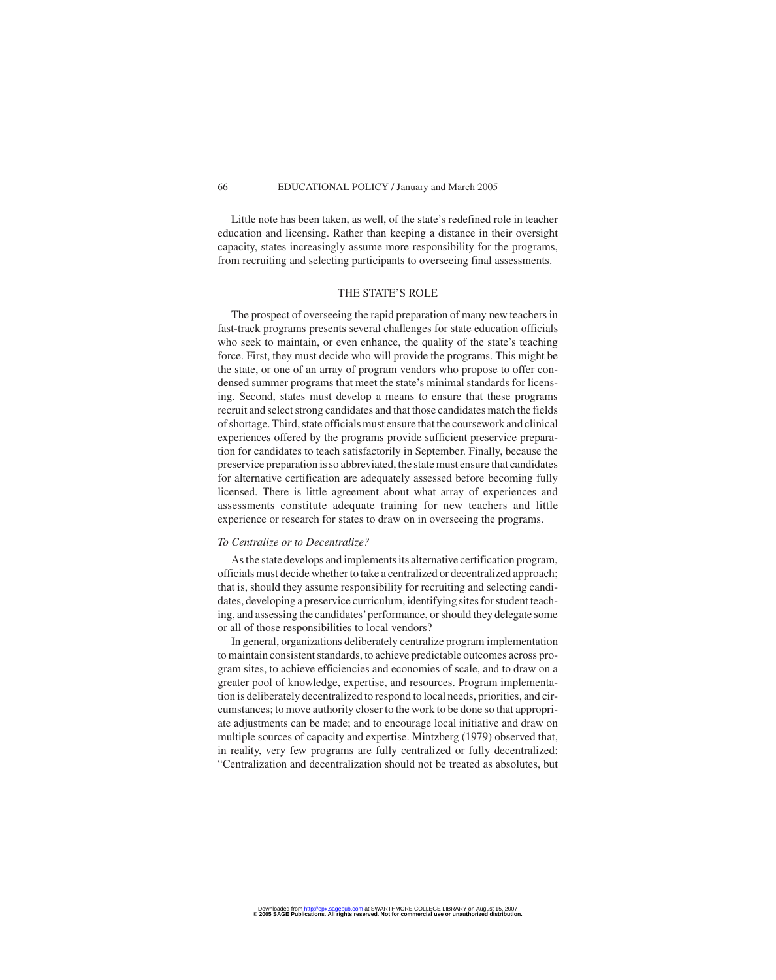Little note has been taken, as well, of the state's redefined role in teacher education and licensing. Rather than keeping a distance in their oversight capacity, states increasingly assume more responsibility for the programs, from recruiting and selecting participants to overseeing final assessments.

#### THE STATE'S ROLE

The prospect of overseeing the rapid preparation of many new teachers in fast-track programs presents several challenges for state education officials who seek to maintain, or even enhance, the quality of the state's teaching force. First, they must decide who will provide the programs. This might be the state, or one of an array of program vendors who propose to offer condensed summer programs that meet the state's minimal standards for licensing. Second, states must develop a means to ensure that these programs recruit and select strong candidates and that those candidates match the fields of shortage. Third, state officials must ensure that the coursework and clinical experiences offered by the programs provide sufficient preservice preparation for candidates to teach satisfactorily in September. Finally, because the preservice preparation is so abbreviated, the state must ensure that candidates for alternative certification are adequately assessed before becoming fully licensed. There is little agreement about what array of experiences and assessments constitute adequate training for new teachers and little experience or research for states to draw on in overseeing the programs.

#### *To Centralize or to Decentralize?*

As the state develops and implements its alternative certification program, officials must decide whether to take a centralized or decentralized approach; that is, should they assume responsibility for recruiting and selecting candidates, developing a preservice curriculum, identifying sites for student teaching, and assessing the candidates'performance, or should they delegate some or all of those responsibilities to local vendors?

In general, organizations deliberately centralize program implementation to maintain consistent standards, to achieve predictable outcomes across program sites, to achieve efficiencies and economies of scale, and to draw on a greater pool of knowledge, expertise, and resources. Program implementation is deliberately decentralized to respond to local needs, priorities, and circumstances; to move authority closer to the work to be done so that appropriate adjustments can be made; and to encourage local initiative and draw on multiple sources of capacity and expertise. Mintzberg (1979) observed that, in reality, very few programs are fully centralized or fully decentralized: "Centralization and decentralization should not be treated as absolutes, but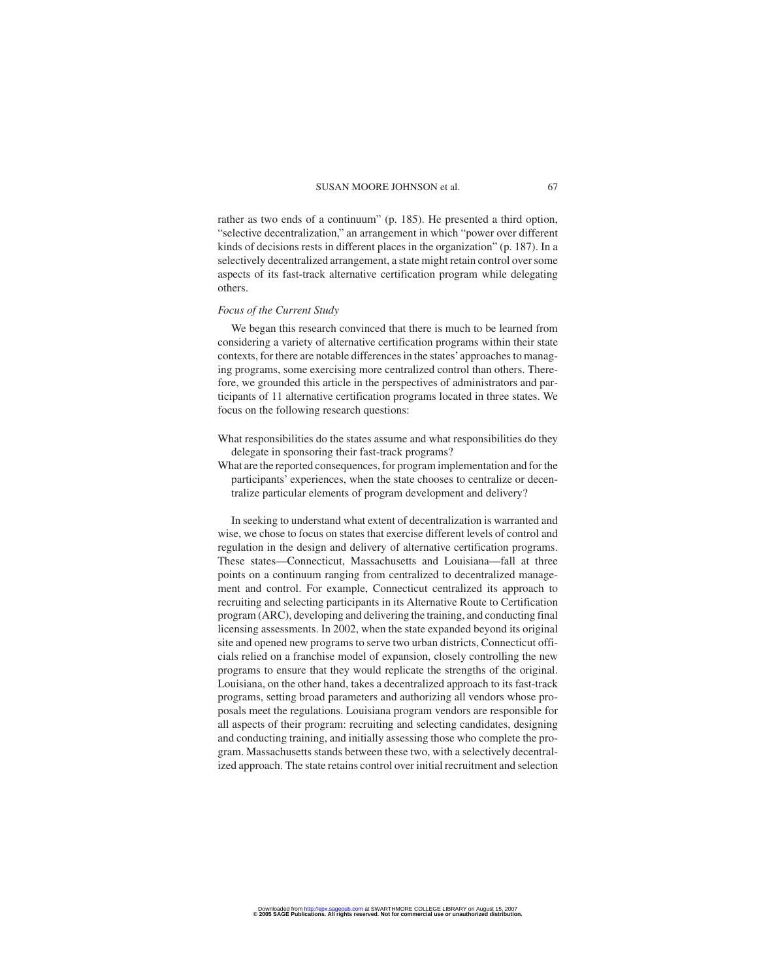rather as two ends of a continuum" (p. 185). He presented a third option, "selective decentralization," an arrangement in which "power over different kinds of decisions rests in different places in the organization" (p. 187). In a selectively decentralized arrangement, a state might retain control over some aspects of its fast-track alternative certification program while delegating others.

#### *Focus of the Current Study*

We began this research convinced that there is much to be learned from considering a variety of alternative certification programs within their state contexts, for there are notable differences in the states'approaches to managing programs, some exercising more centralized control than others. Therefore, we grounded this article in the perspectives of administrators and participants of 11 alternative certification programs located in three states. We focus on the following research questions:

- What responsibilities do the states assume and what responsibilities do they delegate in sponsoring their fast-track programs?
- What are the reported consequences, for program implementation and for the participants' experiences, when the state chooses to centralize or decentralize particular elements of program development and delivery?

In seeking to understand what extent of decentralization is warranted and wise, we chose to focus on states that exercise different levels of control and regulation in the design and delivery of alternative certification programs. These states—Connecticut, Massachusetts and Louisiana—fall at three points on a continuum ranging from centralized to decentralized management and control. For example, Connecticut centralized its approach to recruiting and selecting participants in its Alternative Route to Certification program (ARC), developing and delivering the training, and conducting final licensing assessments. In 2002, when the state expanded beyond its original site and opened new programs to serve two urban districts, Connecticut officials relied on a franchise model of expansion, closely controlling the new programs to ensure that they would replicate the strengths of the original. Louisiana, on the other hand, takes a decentralized approach to its fast-track programs, setting broad parameters and authorizing all vendors whose proposals meet the regulations. Louisiana program vendors are responsible for all aspects of their program: recruiting and selecting candidates, designing and conducting training, and initially assessing those who complete the program. Massachusetts stands between these two, with a selectively decentralized approach. The state retains control over initial recruitment and selection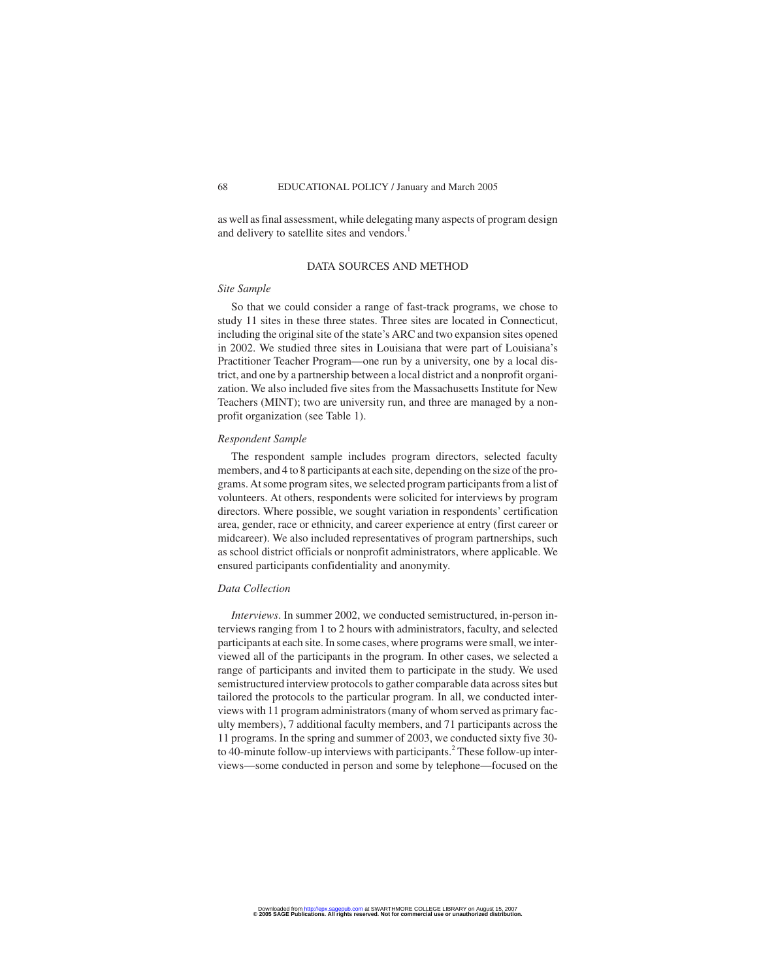as well as final assessment, while delegating many aspects of program design and delivery to satellite sites and vendors.

#### DATA SOURCES AND METHOD

#### *Site Sample*

So that we could consider a range of fast-track programs, we chose to study 11 sites in these three states. Three sites are located in Connecticut, including the original site of the state's ARC and two expansion sites opened in 2002. We studied three sites in Louisiana that were part of Louisiana's Practitioner Teacher Program—one run by a university, one by a local district, and one by a partnership between a local district and a nonprofit organization. We also included five sites from the Massachusetts Institute for New Teachers (MINT); two are university run, and three are managed by a nonprofit organization (see Table 1).

#### *Respondent Sample*

The respondent sample includes program directors, selected faculty members, and 4 to 8 participants at each site, depending on the size of the programs. At some program sites, we selected program participants from a list of volunteers. At others, respondents were solicited for interviews by program directors. Where possible, we sought variation in respondents' certification area, gender, race or ethnicity, and career experience at entry (first career or midcareer). We also included representatives of program partnerships, such as school district officials or nonprofit administrators, where applicable. We ensured participants confidentiality and anonymity.

#### *Data Collection*

*Interviews*. In summer 2002, we conducted semistructured, in-person interviews ranging from 1 to 2 hours with administrators, faculty, and selected participants at each site. In some cases, where programs were small, we interviewed all of the participants in the program. In other cases, we selected a range of participants and invited them to participate in the study. We used semistructured interview protocols to gather comparable data across sites but tailored the protocols to the particular program. In all, we conducted interviews with 11 program administrators (many of whom served as primary faculty members), 7 additional faculty members, and 71 participants across the 11 programs. In the spring and summer of 2003, we conducted sixty five 30 to 40-minute follow-up interviews with participants.<sup>2</sup> These follow-up interviews—some conducted in person and some by telephone—focused on the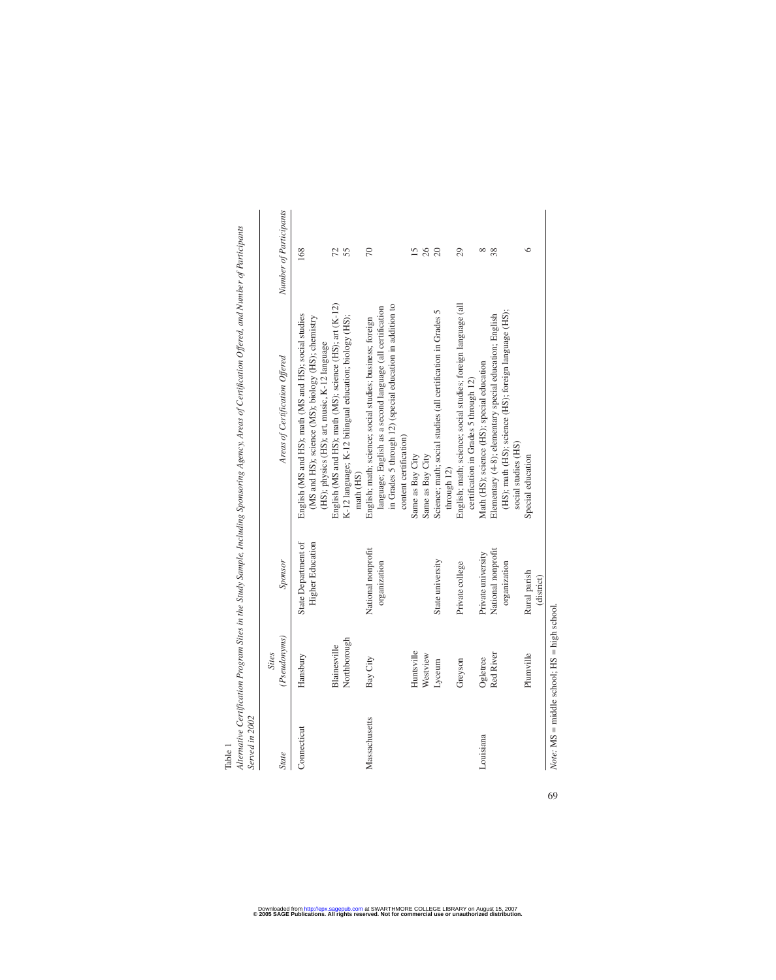Table 1<br>Alternative Certification Program Sites in the Study Sample, Including Sponsoring Agency, Areas of Certification Offered, and Number of Participants *Alternative Certification Program Sites in the Study Sample, Including Sponsoring Agency, Areas of Certification Offered, and Number of Participants*

| Served in 2002 |                              |                                                          |                                                                                                                                                                                                               |                        |
|----------------|------------------------------|----------------------------------------------------------|---------------------------------------------------------------------------------------------------------------------------------------------------------------------------------------------------------------|------------------------|
| <b>State</b>   | (Pseudonyms)<br><b>Sites</b> | Sponsor                                                  | Areas of Certification Offered                                                                                                                                                                                | Number of Participants |
| Connecticut    | Hansbury                     | State Department of<br>Higher Education                  | English (MS and HS); math (MS and HS); social studies<br>(MS and HS); science (MS); biology (HS); chemistry<br>(HS); physics (HS); art, music, K-12 language                                                  | 168                    |
|                | Northborough<br>Blainesville |                                                          | English (MS and HS); math (MS); science (HS); art (K-12)<br>K-12 language; K-12 bilingual education; biology (HS);<br>math (HS)                                                                               | 72<br>55               |
| Massachusetts  | Bay City                     | National nonprofit<br>organization                       | in Grades 5 through 12) (special education in addition to<br>language; English as a second language (all certification<br>English; math; science; social studies; business; foreign<br>content certification) | $\overline{70}$        |
|                | Huntsville<br>Westview       |                                                          | Same as Bay City<br>Same as Bay City                                                                                                                                                                          | 26                     |
|                | Lyceum                       | State university                                         | Science; math; social studies (all certification in Grades 5<br>through 12)                                                                                                                                   | $\Omega$               |
|                | Greyson                      | Private college                                          | English; math; science; social studies; foreign language (all<br>certification in Grades 5 through 12)                                                                                                        | 29                     |
| Louisiana      | Red River<br>Ogletree        | National nonprofit<br>Private university<br>organization | (HS); math (HS); science (HS); foreign language (HS);<br>Elementary (4-8); elementary special education; English<br>Math (HS); science (HS); special education<br>social studies (HS)                         | ∞<br>38                |
|                | Plumville                    | Rural parish<br>(district)                               | Special education                                                                                                                                                                                             | ∘                      |
|                |                              |                                                          |                                                                                                                                                                                                               |                        |

 $Note: MS = middle school; HS = high school.$ *Note:* MS = middle school; HS = high school.

69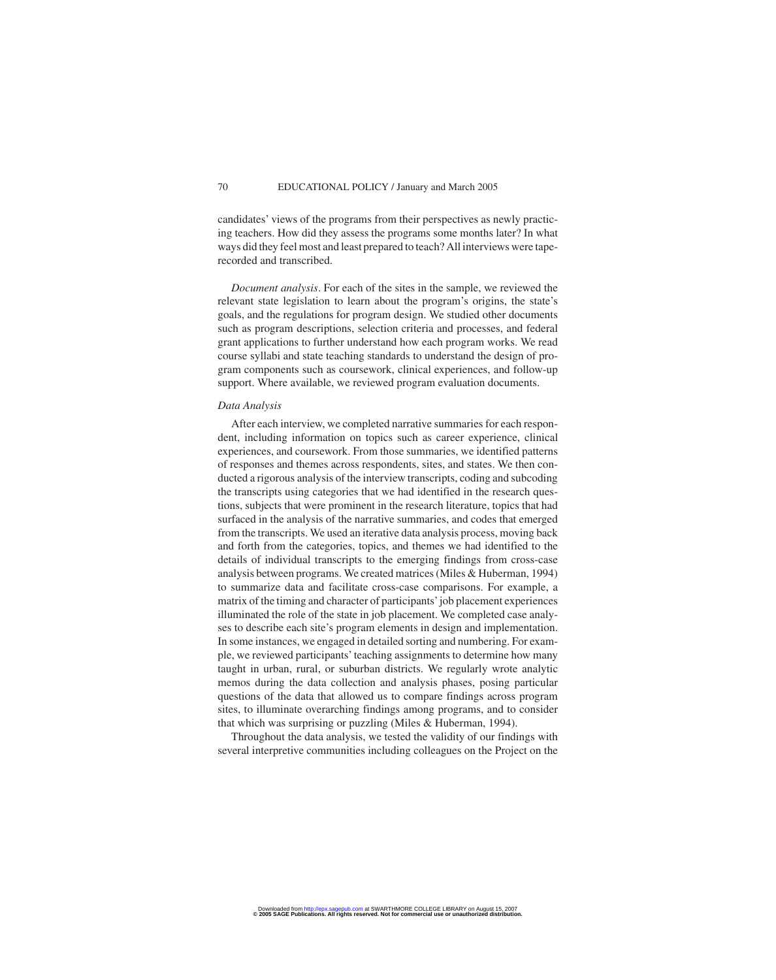candidates' views of the programs from their perspectives as newly practicing teachers. How did they assess the programs some months later? In what ways did they feel most and least prepared to teach? All interviews were taperecorded and transcribed.

*Document analysis*. For each of the sites in the sample, we reviewed the relevant state legislation to learn about the program's origins, the state's goals, and the regulations for program design. We studied other documents such as program descriptions, selection criteria and processes, and federal grant applications to further understand how each program works. We read course syllabi and state teaching standards to understand the design of program components such as coursework, clinical experiences, and follow-up support. Where available, we reviewed program evaluation documents.

#### *Data Analysis*

After each interview, we completed narrative summaries for each respondent, including information on topics such as career experience, clinical experiences, and coursework. From those summaries, we identified patterns of responses and themes across respondents, sites, and states. We then conducted a rigorous analysis of the interview transcripts, coding and subcoding the transcripts using categories that we had identified in the research questions, subjects that were prominent in the research literature, topics that had surfaced in the analysis of the narrative summaries, and codes that emerged from the transcripts. We used an iterative data analysis process, moving back and forth from the categories, topics, and themes we had identified to the details of individual transcripts to the emerging findings from cross-case analysis between programs. We created matrices (Miles & Huberman, 1994) to summarize data and facilitate cross-case comparisons. For example, a matrix of the timing and character of participants'job placement experiences illuminated the role of the state in job placement. We completed case analyses to describe each site's program elements in design and implementation. In some instances, we engaged in detailed sorting and numbering. For example, we reviewed participants' teaching assignments to determine how many taught in urban, rural, or suburban districts. We regularly wrote analytic memos during the data collection and analysis phases, posing particular questions of the data that allowed us to compare findings across program sites, to illuminate overarching findings among programs, and to consider that which was surprising or puzzling (Miles & Huberman, 1994).

Throughout the data analysis, we tested the validity of our findings with several interpretive communities including colleagues on the Project on the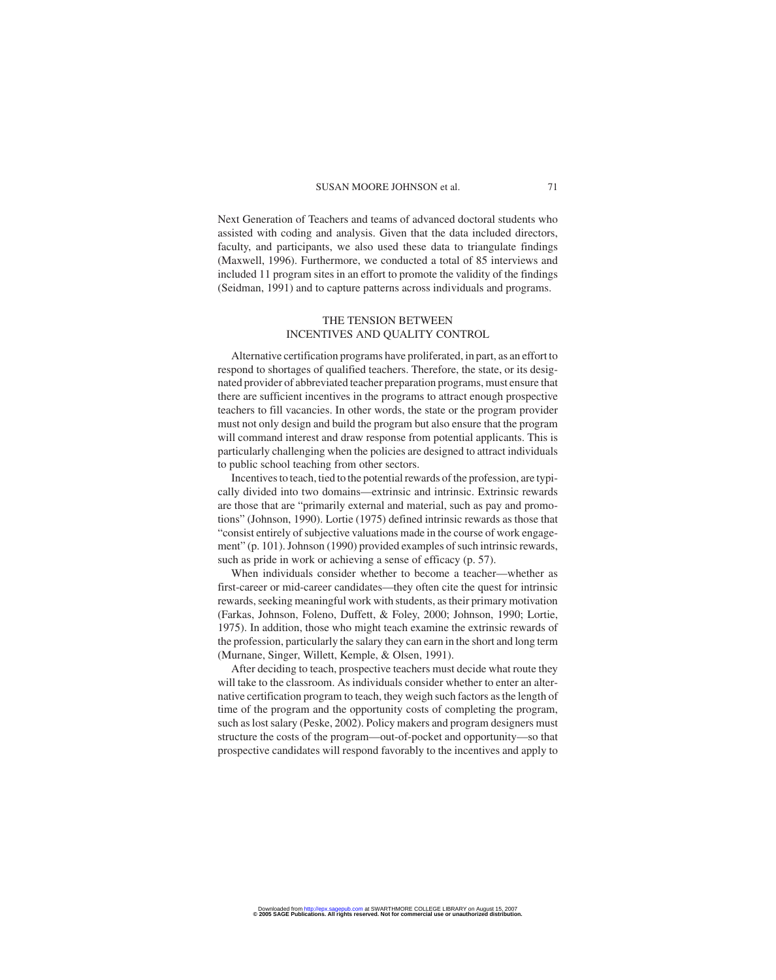Next Generation of Teachers and teams of advanced doctoral students who assisted with coding and analysis. Given that the data included directors, faculty, and participants, we also used these data to triangulate findings (Maxwell, 1996). Furthermore, we conducted a total of 85 interviews and included 11 program sites in an effort to promote the validity of the findings (Seidman, 1991) and to capture patterns across individuals and programs.

#### THE TENSION BETWEEN INCENTIVES AND QUALITY CONTROL

Alternative certification programs have proliferated, in part, as an effort to respond to shortages of qualified teachers. Therefore, the state, or its designated provider of abbreviated teacher preparation programs, must ensure that there are sufficient incentives in the programs to attract enough prospective teachers to fill vacancies. In other words, the state or the program provider must not only design and build the program but also ensure that the program will command interest and draw response from potential applicants. This is particularly challenging when the policies are designed to attract individuals to public school teaching from other sectors.

Incentives to teach, tied to the potential rewards of the profession, are typically divided into two domains—extrinsic and intrinsic. Extrinsic rewards are those that are "primarily external and material, such as pay and promotions" (Johnson, 1990). Lortie (1975) defined intrinsic rewards as those that "consist entirely of subjective valuations made in the course of work engagement" (p. 101). Johnson (1990) provided examples of such intrinsic rewards, such as pride in work or achieving a sense of efficacy (p. 57).

When individuals consider whether to become a teacher—whether as first-career or mid-career candidates—they often cite the quest for intrinsic rewards, seeking meaningful work with students, as their primary motivation (Farkas, Johnson, Foleno, Duffett, & Foley, 2000; Johnson, 1990; Lortie, 1975). In addition, those who might teach examine the extrinsic rewards of the profession, particularly the salary they can earn in the short and long term (Murnane, Singer, Willett, Kemple, & Olsen, 1991).

After deciding to teach, prospective teachers must decide what route they will take to the classroom. As individuals consider whether to enter an alternative certification program to teach, they weigh such factors as the length of time of the program and the opportunity costs of completing the program, such as lost salary (Peske, 2002). Policy makers and program designers must structure the costs of the program—out-of-pocket and opportunity—so that prospective candidates will respond favorably to the incentives and apply to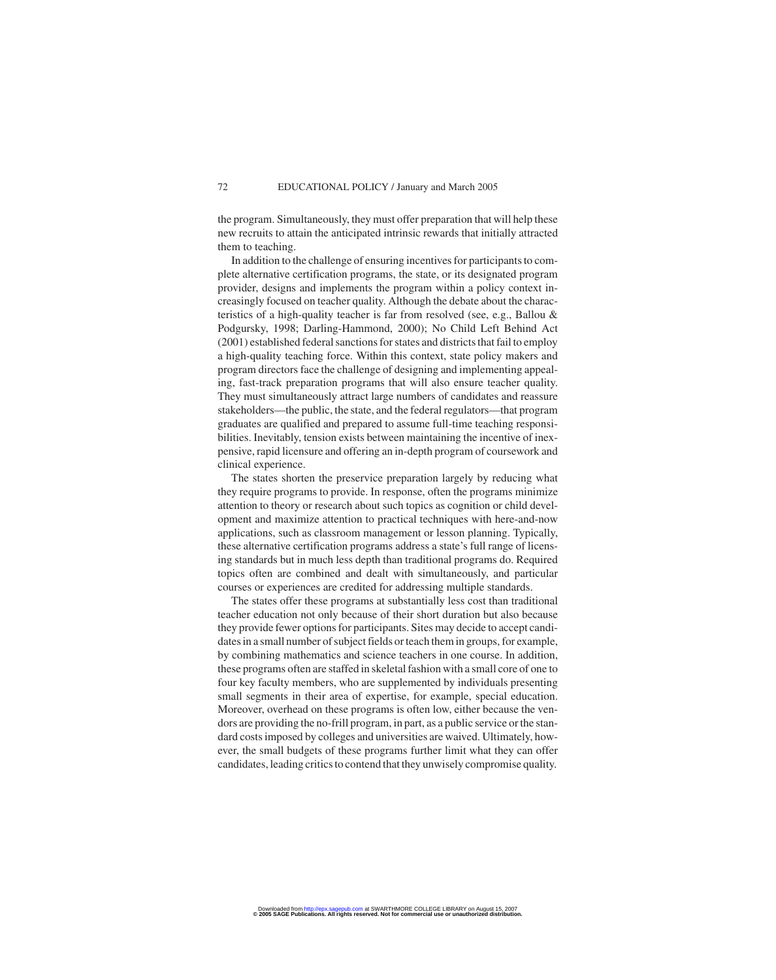the program. Simultaneously, they must offer preparation that will help these new recruits to attain the anticipated intrinsic rewards that initially attracted them to teaching.

In addition to the challenge of ensuring incentives for participants to complete alternative certification programs, the state, or its designated program provider, designs and implements the program within a policy context increasingly focused on teacher quality. Although the debate about the characteristics of a high-quality teacher is far from resolved (see, e.g., Ballou & Podgursky, 1998; Darling-Hammond, 2000); No Child Left Behind Act (2001) established federal sanctions for states and districts that fail to employ a high-quality teaching force. Within this context, state policy makers and program directors face the challenge of designing and implementing appealing, fast-track preparation programs that will also ensure teacher quality. They must simultaneously attract large numbers of candidates and reassure stakeholders—the public, the state, and the federal regulators—that program graduates are qualified and prepared to assume full-time teaching responsibilities. Inevitably, tension exists between maintaining the incentive of inexpensive, rapid licensure and offering an in-depth program of coursework and clinical experience.

The states shorten the preservice preparation largely by reducing what they require programs to provide. In response, often the programs minimize attention to theory or research about such topics as cognition or child development and maximize attention to practical techniques with here-and-now applications, such as classroom management or lesson planning. Typically, these alternative certification programs address a state's full range of licensing standards but in much less depth than traditional programs do. Required topics often are combined and dealt with simultaneously, and particular courses or experiences are credited for addressing multiple standards.

The states offer these programs at substantially less cost than traditional teacher education not only because of their short duration but also because they provide fewer options for participants. Sites may decide to accept candidates in a small number of subject fields or teach them in groups, for example, by combining mathematics and science teachers in one course. In addition, these programs often are staffed in skeletal fashion with a small core of one to four key faculty members, who are supplemented by individuals presenting small segments in their area of expertise, for example, special education. Moreover, overhead on these programs is often low, either because the vendors are providing the no-frill program, in part, as a public service or the standard costs imposed by colleges and universities are waived. Ultimately, however, the small budgets of these programs further limit what they can offer candidates, leading critics to contend that they unwisely compromise quality.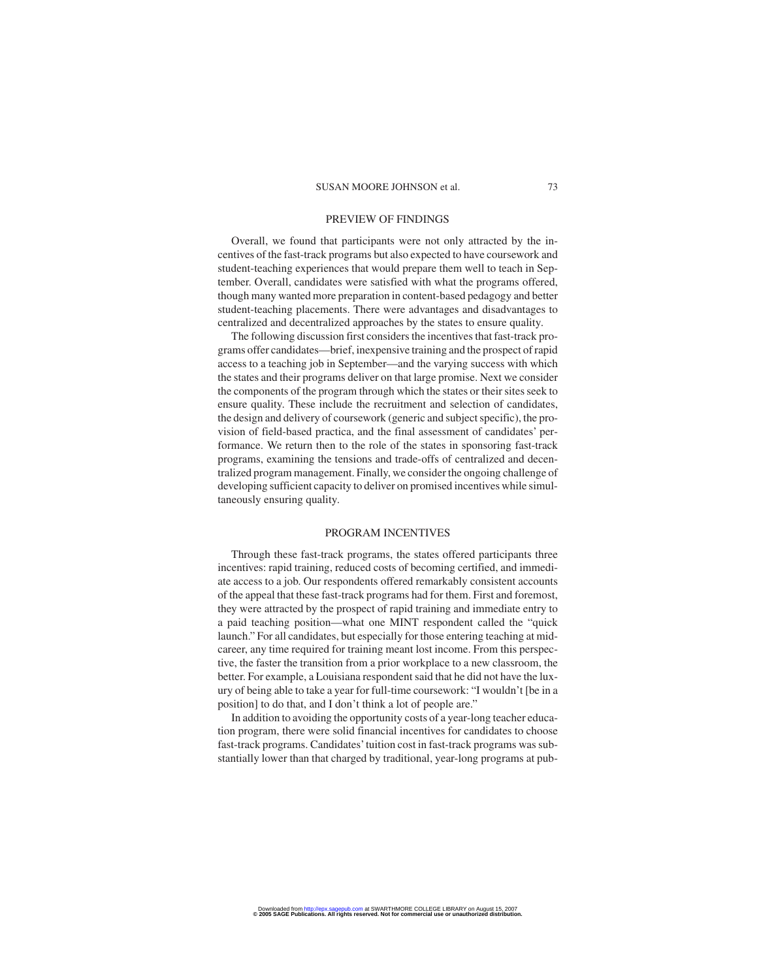#### PREVIEW OF FINDINGS

Overall, we found that participants were not only attracted by the incentives of the fast-track programs but also expected to have coursework and student-teaching experiences that would prepare them well to teach in September. Overall, candidates were satisfied with what the programs offered, though many wanted more preparation in content-based pedagogy and better student-teaching placements. There were advantages and disadvantages to centralized and decentralized approaches by the states to ensure quality.

The following discussion first considers the incentives that fast-track programs offer candidates—brief, inexpensive training and the prospect of rapid access to a teaching job in September—and the varying success with which the states and their programs deliver on that large promise. Next we consider the components of the program through which the states or their sites seek to ensure quality. These include the recruitment and selection of candidates, the design and delivery of coursework (generic and subject specific), the provision of field-based practica, and the final assessment of candidates' performance. We return then to the role of the states in sponsoring fast-track programs, examining the tensions and trade-offs of centralized and decentralized program management. Finally, we consider the ongoing challenge of developing sufficient capacity to deliver on promised incentives while simultaneously ensuring quality.

#### PROGRAM INCENTIVES

Through these fast-track programs, the states offered participants three incentives: rapid training, reduced costs of becoming certified, and immediate access to a job. Our respondents offered remarkably consistent accounts of the appeal that these fast-track programs had for them. First and foremost, they were attracted by the prospect of rapid training and immediate entry to a paid teaching position—what one MINT respondent called the "quick launch." For all candidates, but especially for those entering teaching at midcareer, any time required for training meant lost income. From this perspective, the faster the transition from a prior workplace to a new classroom, the better. For example, a Louisiana respondent said that he did not have the luxury of being able to take a year for full-time coursework: "I wouldn't [be in a position] to do that, and I don't think a lot of people are."

In addition to avoiding the opportunity costs of a year-long teacher education program, there were solid financial incentives for candidates to choose fast-track programs. Candidates'tuition cost in fast-track programs was substantially lower than that charged by traditional, year-long programs at pub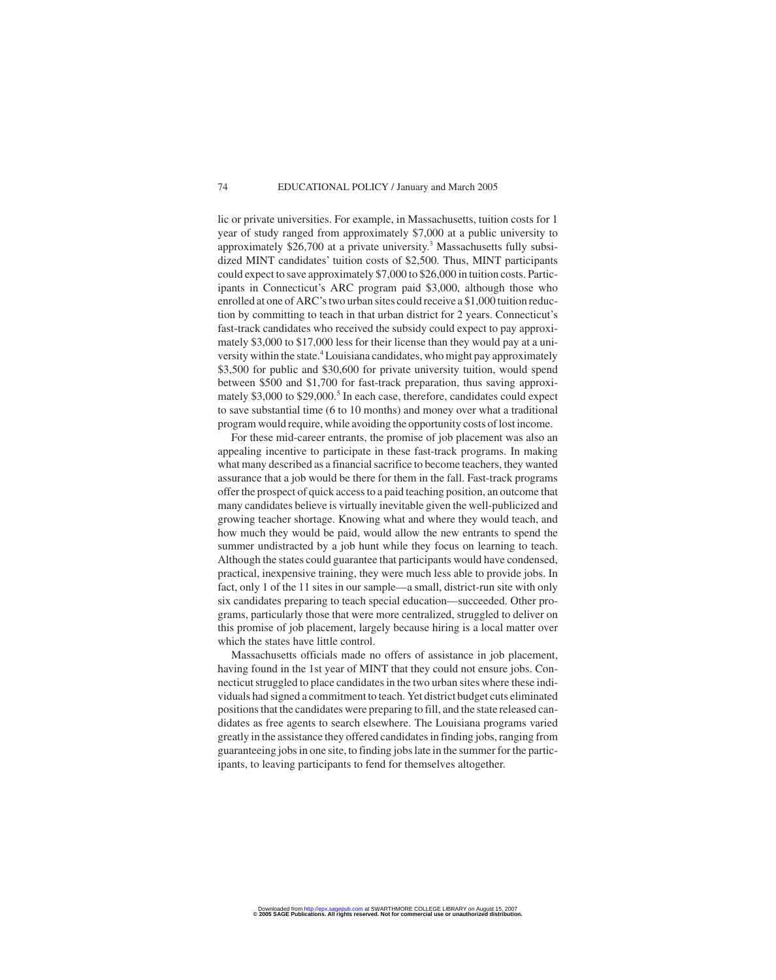lic or private universities. For example, in Massachusetts, tuition costs for 1 year of study ranged from approximately \$7,000 at a public university to approximately  $$26,700$  at a private university.<sup>3</sup> Massachusetts fully subsidized MINT candidates' tuition costs of \$2,500. Thus, MINT participants could expect to save approximately \$7,000 to \$26,000 in tuition costs. Participants in Connecticut's ARC program paid \$3,000, although those who enrolled at one of ARC's two urban sites could receive a \$1,000 tuition reduction by committing to teach in that urban district for 2 years. Connecticut's fast-track candidates who received the subsidy could expect to pay approximately \$3,000 to \$17,000 less for their license than they would pay at a university within the state.<sup>4</sup> Louisiana candidates, who might pay approximately \$3,500 for public and \$30,600 for private university tuition, would spend between \$500 and \$1,700 for fast-track preparation, thus saving approximately  $$3,000$  to  $$29,000$ .<sup>5</sup> In each case, therefore, candidates could expect to save substantial time (6 to 10 months) and money over what a traditional program would require, while avoiding the opportunity costs of lost income.

For these mid-career entrants, the promise of job placement was also an appealing incentive to participate in these fast-track programs. In making what many described as a financial sacrifice to become teachers, they wanted assurance that a job would be there for them in the fall. Fast-track programs offer the prospect of quick access to a paid teaching position, an outcome that many candidates believe is virtually inevitable given the well-publicized and growing teacher shortage. Knowing what and where they would teach, and how much they would be paid, would allow the new entrants to spend the summer undistracted by a job hunt while they focus on learning to teach. Although the states could guarantee that participants would have condensed, practical, inexpensive training, they were much less able to provide jobs. In fact, only 1 of the 11 sites in our sample—a small, district-run site with only six candidates preparing to teach special education—succeeded. Other programs, particularly those that were more centralized, struggled to deliver on this promise of job placement, largely because hiring is a local matter over which the states have little control.

Massachusetts officials made no offers of assistance in job placement, having found in the 1st year of MINT that they could not ensure jobs. Connecticut struggled to place candidates in the two urban sites where these individuals had signed a commitment to teach. Yet district budget cuts eliminated positions that the candidates were preparing to fill, and the state released candidates as free agents to search elsewhere. The Louisiana programs varied greatly in the assistance they offered candidates in finding jobs, ranging from guaranteeing jobs in one site, to finding jobs late in the summer for the participants, to leaving participants to fend for themselves altogether.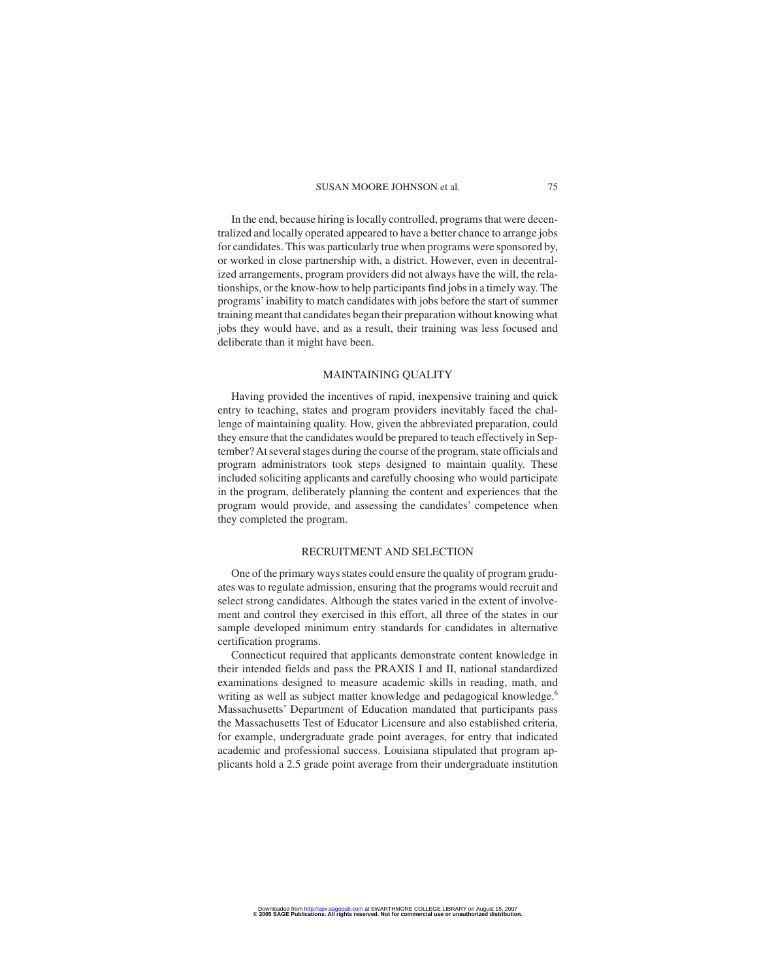In the end, because hiring is locally controlled, programs that were decentralized and locally operated appeared to have a better chance to arrange jobs for candidates. This was particularly true when programs were sponsored by, or worked in close partnership with, a district. However, even in decentralized arrangements, program providers did not always have the will, the relationships, or the know-how to help participants find jobs in a timely way. The programs' inability to match candidates with jobs before the start of summer training meant that candidates began their preparation without knowing what jobs they would have, and as a result, their training was less focused and deliberate than it might have been.

#### MAINTAINING QUALITY

Having provided the incentives of rapid, inexpensive training and quick entry to teaching, states and program providers inevitably faced the challenge of maintaining quality. How, given the abbreviated preparation, could they ensure that the candidates would be prepared to teach effectively in September? At several stages during the course of the program, state officials and program administrators took steps designed to maintain quality. These included soliciting applicants and carefully choosing who would participate in the program, deliberately planning the content and experiences that the program would provide, and assessing the candidates' competence when they completed the program.

#### RECRUITMENT AND SELECTION

One of the primary ways states could ensure the quality of program graduates was to regulate admission, ensuring that the programs would recruit and select strong candidates. Although the states varied in the extent of involvement and control they exercised in this effort, all three of the states in our sample developed minimum entry standards for candidates in alternative certification programs.

Connecticut required that applicants demonstrate content knowledge in their intended fields and pass the PRAXIS I and II, national standardized examinations designed to measure academic skills in reading, math, and writing as well as subject matter knowledge and pedagogical knowledge.<sup>6</sup> Massachusetts' Department of Education mandated that participants pass the Massachusetts Test of Educator Licensure and also established criteria, for example, undergraduate grade point averages, for entry that indicated academic and professional success. Louisiana stipulated that program applicants hold a 2.5 grade point average from their undergraduate institution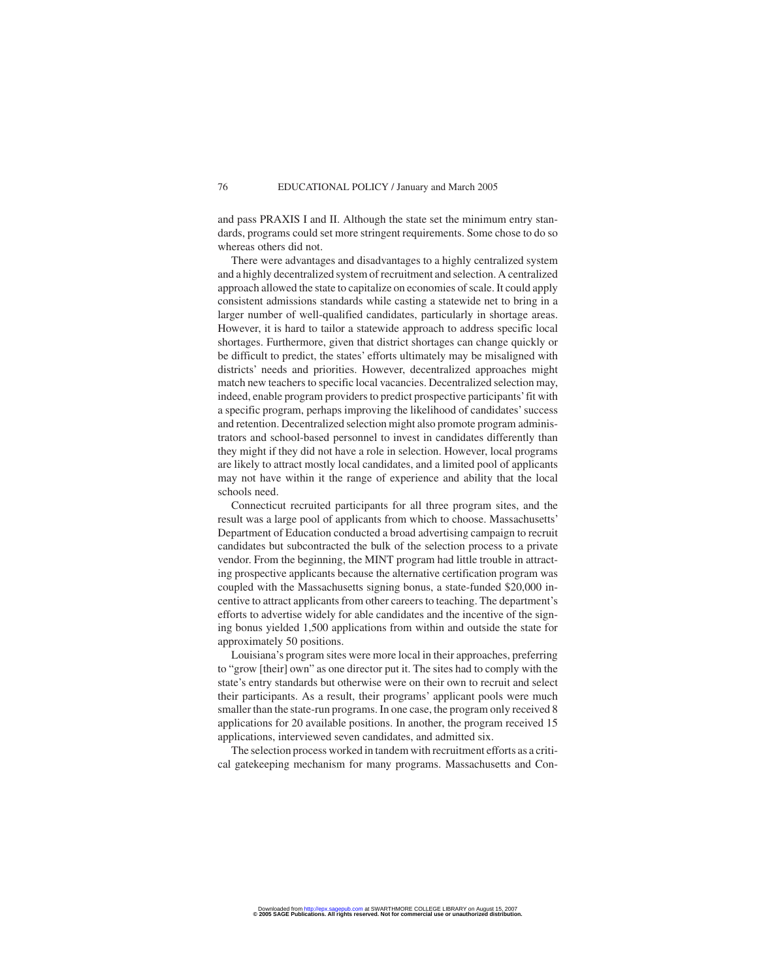and pass PRAXIS I and II. Although the state set the minimum entry standards, programs could set more stringent requirements. Some chose to do so whereas others did not.

There were advantages and disadvantages to a highly centralized system and a highly decentralized system of recruitment and selection. A centralized approach allowed the state to capitalize on economies of scale. It could apply consistent admissions standards while casting a statewide net to bring in a larger number of well-qualified candidates, particularly in shortage areas. However, it is hard to tailor a statewide approach to address specific local shortages. Furthermore, given that district shortages can change quickly or be difficult to predict, the states' efforts ultimately may be misaligned with districts' needs and priorities. However, decentralized approaches might match new teachers to specific local vacancies. Decentralized selection may, indeed, enable program providers to predict prospective participants'fit with a specific program, perhaps improving the likelihood of candidates' success and retention. Decentralized selection might also promote program administrators and school-based personnel to invest in candidates differently than they might if they did not have a role in selection. However, local programs are likely to attract mostly local candidates, and a limited pool of applicants may not have within it the range of experience and ability that the local schools need.

Connecticut recruited participants for all three program sites, and the result was a large pool of applicants from which to choose. Massachusetts' Department of Education conducted a broad advertising campaign to recruit candidates but subcontracted the bulk of the selection process to a private vendor. From the beginning, the MINT program had little trouble in attracting prospective applicants because the alternative certification program was coupled with the Massachusetts signing bonus, a state-funded \$20,000 incentive to attract applicants from other careers to teaching. The department's efforts to advertise widely for able candidates and the incentive of the signing bonus yielded 1,500 applications from within and outside the state for approximately 50 positions.

Louisiana's program sites were more local in their approaches, preferring to "grow [their] own" as one director put it. The sites had to comply with the state's entry standards but otherwise were on their own to recruit and select their participants. As a result, their programs' applicant pools were much smaller than the state-run programs. In one case, the program only received 8 applications for 20 available positions. In another, the program received 15 applications, interviewed seven candidates, and admitted six.

The selection process worked in tandem with recruitment efforts as a critical gatekeeping mechanism for many programs. Massachusetts and Con-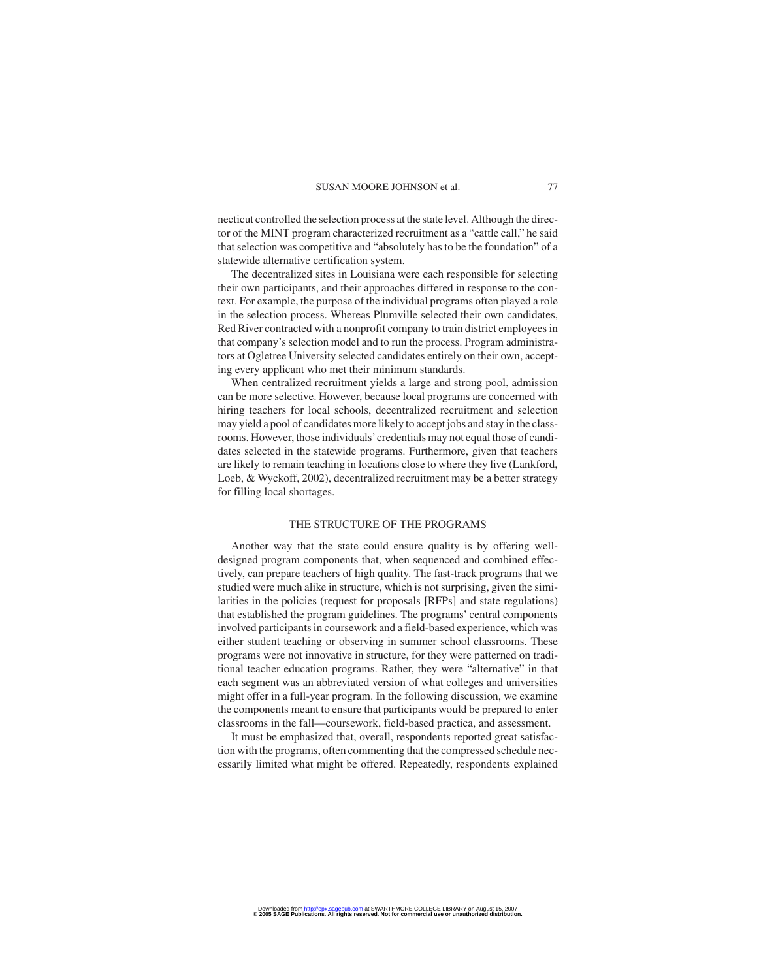necticut controlled the selection process at the state level. Although the director of the MINT program characterized recruitment as a "cattle call," he said that selection was competitive and "absolutely has to be the foundation" of a statewide alternative certification system.

The decentralized sites in Louisiana were each responsible for selecting their own participants, and their approaches differed in response to the context. For example, the purpose of the individual programs often played a role in the selection process. Whereas Plumville selected their own candidates, Red River contracted with a nonprofit company to train district employees in that company's selection model and to run the process. Program administrators at Ogletree University selected candidates entirely on their own, accepting every applicant who met their minimum standards.

When centralized recruitment yields a large and strong pool, admission can be more selective. However, because local programs are concerned with hiring teachers for local schools, decentralized recruitment and selection may yield a pool of candidates more likely to accept jobs and stay in the classrooms. However, those individuals'credentials may not equal those of candidates selected in the statewide programs. Furthermore, given that teachers are likely to remain teaching in locations close to where they live (Lankford, Loeb, & Wyckoff, 2002), decentralized recruitment may be a better strategy for filling local shortages.

#### THE STRUCTURE OF THE PROGRAMS

Another way that the state could ensure quality is by offering welldesigned program components that, when sequenced and combined effectively, can prepare teachers of high quality. The fast-track programs that we studied were much alike in structure, which is not surprising, given the similarities in the policies (request for proposals [RFPs] and state regulations) that established the program guidelines. The programs' central components involved participants in coursework and a field-based experience, which was either student teaching or observing in summer school classrooms. These programs were not innovative in structure, for they were patterned on traditional teacher education programs. Rather, they were "alternative" in that each segment was an abbreviated version of what colleges and universities might offer in a full-year program. In the following discussion, we examine the components meant to ensure that participants would be prepared to enter classrooms in the fall—coursework, field-based practica, and assessment.

It must be emphasized that, overall, respondents reported great satisfaction with the programs, often commenting that the compressed schedule necessarily limited what might be offered. Repeatedly, respondents explained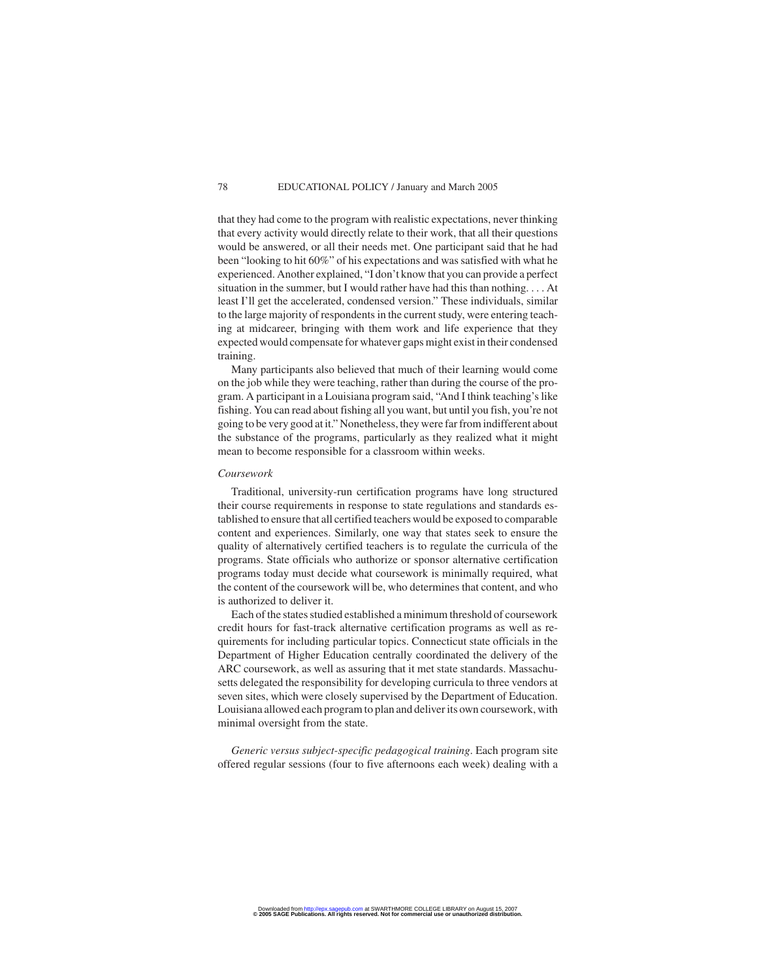that they had come to the program with realistic expectations, never thinking that every activity would directly relate to their work, that all their questions would be answered, or all their needs met. One participant said that he had been "looking to hit 60%" of his expectations and was satisfied with what he experienced. Another explained, "I don't know that you can provide a perfect situation in the summer, but I would rather have had this than nothing. . . . At least I'll get the accelerated, condensed version." These individuals, similar to the large majority of respondents in the current study, were entering teaching at midcareer, bringing with them work and life experience that they expected would compensate for whatever gaps might exist in their condensed training.

Many participants also believed that much of their learning would come on the job while they were teaching, rather than during the course of the program. A participant in a Louisiana program said, "And I think teaching's like fishing. You can read about fishing all you want, but until you fish, you're not going to be very good at it." Nonetheless, they were far from indifferent about the substance of the programs, particularly as they realized what it might mean to become responsible for a classroom within weeks.

#### *Coursework*

Traditional, university-run certification programs have long structured their course requirements in response to state regulations and standards established to ensure that all certified teachers would be exposed to comparable content and experiences. Similarly, one way that states seek to ensure the quality of alternatively certified teachers is to regulate the curricula of the programs. State officials who authorize or sponsor alternative certification programs today must decide what coursework is minimally required, what the content of the coursework will be, who determines that content, and who is authorized to deliver it.

Each of the states studied established a minimum threshold of coursework credit hours for fast-track alternative certification programs as well as requirements for including particular topics. Connecticut state officials in the Department of Higher Education centrally coordinated the delivery of the ARC coursework, as well as assuring that it met state standards. Massachusetts delegated the responsibility for developing curricula to three vendors at seven sites, which were closely supervised by the Department of Education. Louisiana allowed each program to plan and deliver its own coursework, with minimal oversight from the state.

*Generic versus subject-specific pedagogical training*. Each program site offered regular sessions (four to five afternoons each week) dealing with a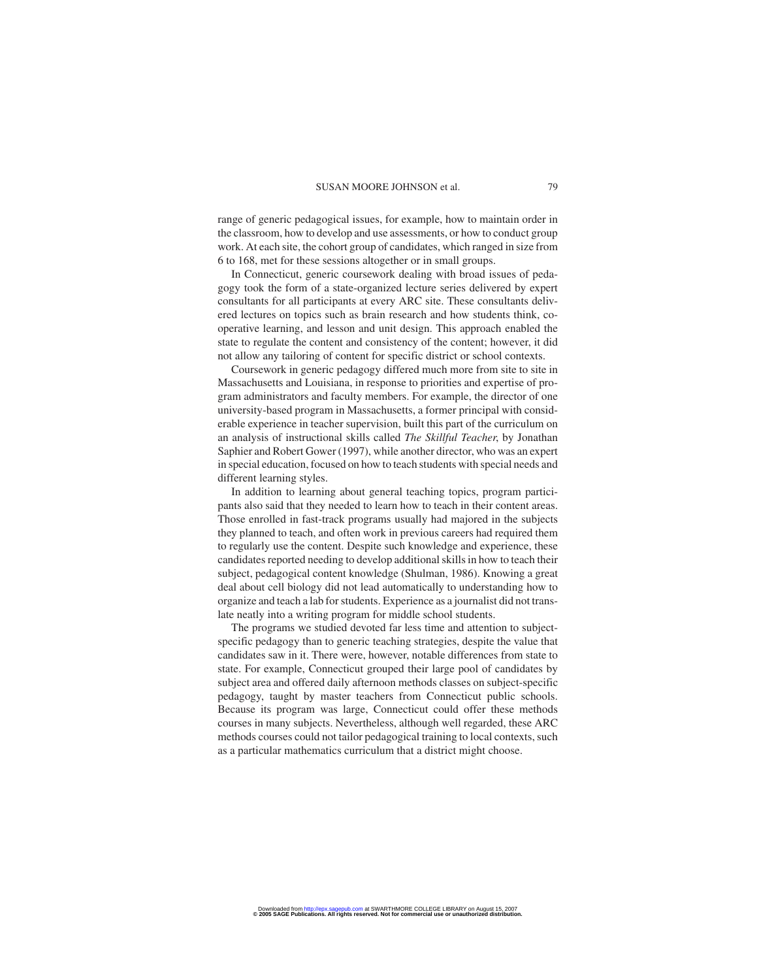range of generic pedagogical issues, for example, how to maintain order in the classroom, how to develop and use assessments, or how to conduct group work. At each site, the cohort group of candidates, which ranged in size from 6 to 168, met for these sessions altogether or in small groups.

In Connecticut, generic coursework dealing with broad issues of pedagogy took the form of a state-organized lecture series delivered by expert consultants for all participants at every ARC site. These consultants delivered lectures on topics such as brain research and how students think, cooperative learning, and lesson and unit design. This approach enabled the state to regulate the content and consistency of the content; however, it did not allow any tailoring of content for specific district or school contexts.

Coursework in generic pedagogy differed much more from site to site in Massachusetts and Louisiana, in response to priorities and expertise of program administrators and faculty members. For example, the director of one university-based program in Massachusetts, a former principal with considerable experience in teacher supervision, built this part of the curriculum on an analysis of instructional skills called *The Skillful Teacher*, by Jonathan Saphier and Robert Gower (1997), while another director, who was an expert in special education, focused on how to teach students with special needs and different learning styles.

In addition to learning about general teaching topics, program participants also said that they needed to learn how to teach in their content areas. Those enrolled in fast-track programs usually had majored in the subjects they planned to teach, and often work in previous careers had required them to regularly use the content. Despite such knowledge and experience, these candidates reported needing to develop additional skills in how to teach their subject, pedagogical content knowledge (Shulman, 1986). Knowing a great deal about cell biology did not lead automatically to understanding how to organize and teach a lab for students. Experience as a journalist did not translate neatly into a writing program for middle school students.

The programs we studied devoted far less time and attention to subjectspecific pedagogy than to generic teaching strategies, despite the value that candidates saw in it. There were, however, notable differences from state to state. For example, Connecticut grouped their large pool of candidates by subject area and offered daily afternoon methods classes on subject-specific pedagogy, taught by master teachers from Connecticut public schools. Because its program was large, Connecticut could offer these methods courses in many subjects. Nevertheless, although well regarded, these ARC methods courses could not tailor pedagogical training to local contexts, such as a particular mathematics curriculum that a district might choose.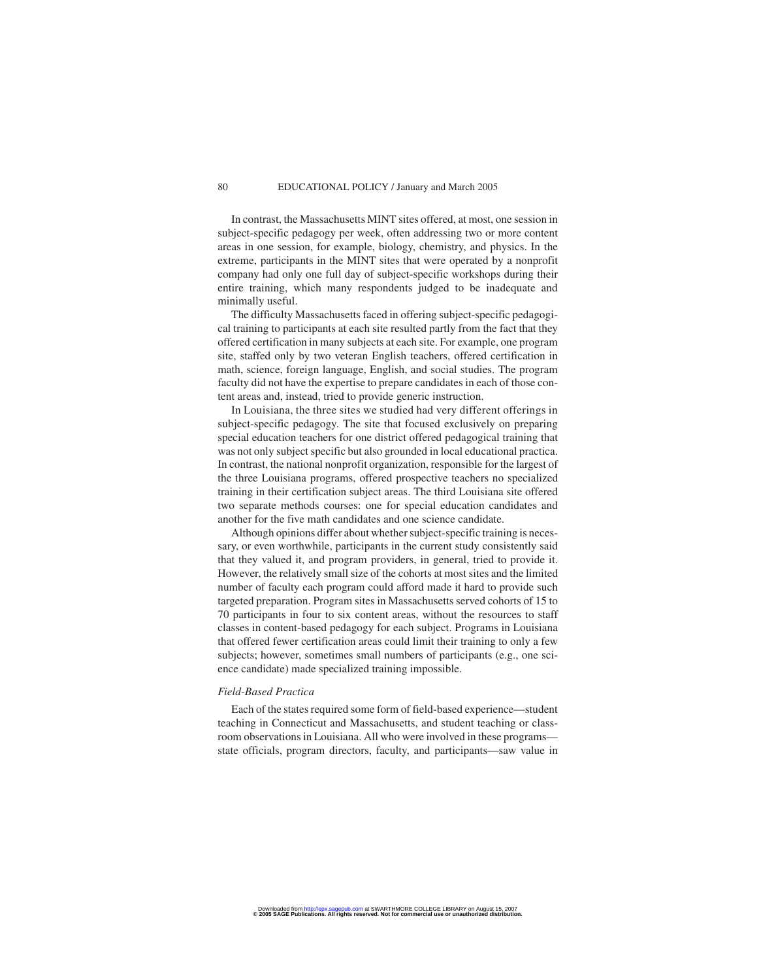In contrast, the Massachusetts MINT sites offered, at most, one session in subject-specific pedagogy per week, often addressing two or more content areas in one session, for example, biology, chemistry, and physics. In the extreme, participants in the MINT sites that were operated by a nonprofit company had only one full day of subject-specific workshops during their entire training, which many respondents judged to be inadequate and minimally useful.

The difficulty Massachusetts faced in offering subject-specific pedagogical training to participants at each site resulted partly from the fact that they offered certification in many subjects at each site. For example, one program site, staffed only by two veteran English teachers, offered certification in math, science, foreign language, English, and social studies. The program faculty did not have the expertise to prepare candidates in each of those content areas and, instead, tried to provide generic instruction.

In Louisiana, the three sites we studied had very different offerings in subject-specific pedagogy. The site that focused exclusively on preparing special education teachers for one district offered pedagogical training that was not only subject specific but also grounded in local educational practica. In contrast, the national nonprofit organization, responsible for the largest of the three Louisiana programs, offered prospective teachers no specialized training in their certification subject areas. The third Louisiana site offered two separate methods courses: one for special education candidates and another for the five math candidates and one science candidate.

Although opinions differ about whether subject-specific training is necessary, or even worthwhile, participants in the current study consistently said that they valued it, and program providers, in general, tried to provide it. However, the relatively small size of the cohorts at most sites and the limited number of faculty each program could afford made it hard to provide such targeted preparation. Program sites in Massachusetts served cohorts of 15 to 70 participants in four to six content areas, without the resources to staff classes in content-based pedagogy for each subject. Programs in Louisiana that offered fewer certification areas could limit their training to only a few subjects; however, sometimes small numbers of participants (e.g., one science candidate) made specialized training impossible.

#### *Field-Based Practica*

Each of the states required some form of field-based experience—student teaching in Connecticut and Massachusetts, and student teaching or classroom observations in Louisiana. All who were involved in these programs state officials, program directors, faculty, and participants—saw value in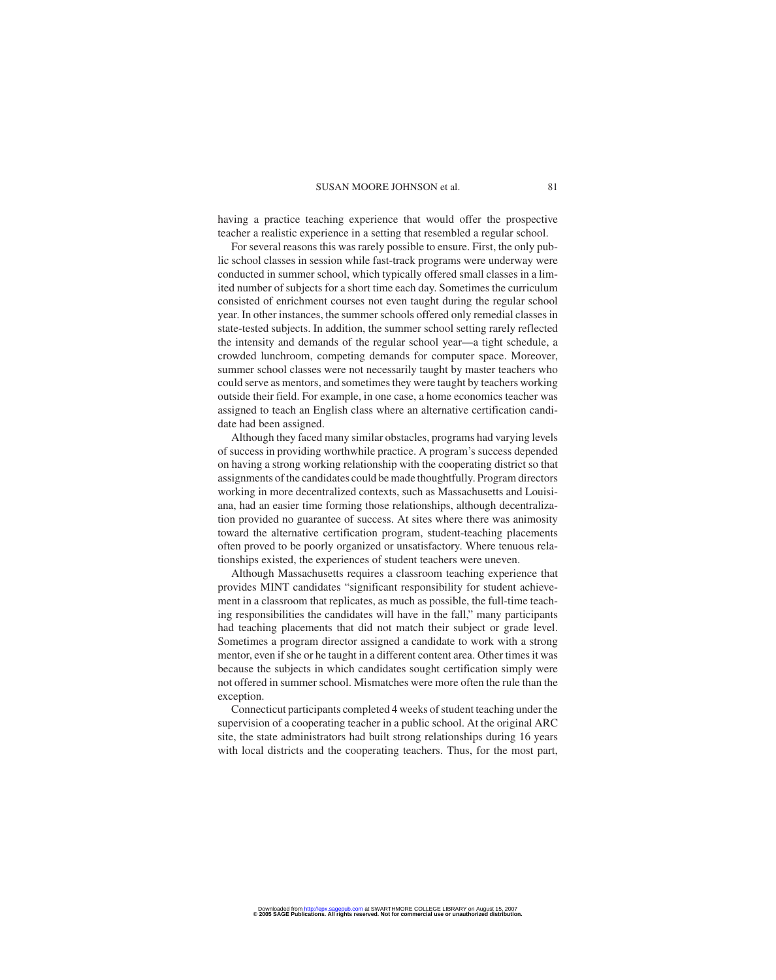having a practice teaching experience that would offer the prospective teacher a realistic experience in a setting that resembled a regular school.

For several reasons this was rarely possible to ensure. First, the only public school classes in session while fast-track programs were underway were conducted in summer school, which typically offered small classes in a limited number of subjects for a short time each day. Sometimes the curriculum consisted of enrichment courses not even taught during the regular school year. In other instances, the summer schools offered only remedial classes in state-tested subjects. In addition, the summer school setting rarely reflected the intensity and demands of the regular school year—a tight schedule, a crowded lunchroom, competing demands for computer space. Moreover, summer school classes were not necessarily taught by master teachers who could serve as mentors, and sometimes they were taught by teachers working outside their field. For example, in one case, a home economics teacher was assigned to teach an English class where an alternative certification candidate had been assigned.

Although they faced many similar obstacles, programs had varying levels of success in providing worthwhile practice. A program's success depended on having a strong working relationship with the cooperating district so that assignments of the candidates could be made thoughtfully. Program directors working in more decentralized contexts, such as Massachusetts and Louisiana, had an easier time forming those relationships, although decentralization provided no guarantee of success. At sites where there was animosity toward the alternative certification program, student-teaching placements often proved to be poorly organized or unsatisfactory. Where tenuous relationships existed, the experiences of student teachers were uneven.

Although Massachusetts requires a classroom teaching experience that provides MINT candidates "significant responsibility for student achievement in a classroom that replicates, as much as possible, the full-time teaching responsibilities the candidates will have in the fall," many participants had teaching placements that did not match their subject or grade level. Sometimes a program director assigned a candidate to work with a strong mentor, even if she or he taught in a different content area. Other times it was because the subjects in which candidates sought certification simply were not offered in summer school. Mismatches were more often the rule than the exception.

Connecticut participants completed 4 weeks of student teaching under the supervision of a cooperating teacher in a public school. At the original ARC site, the state administrators had built strong relationships during 16 years with local districts and the cooperating teachers. Thus, for the most part,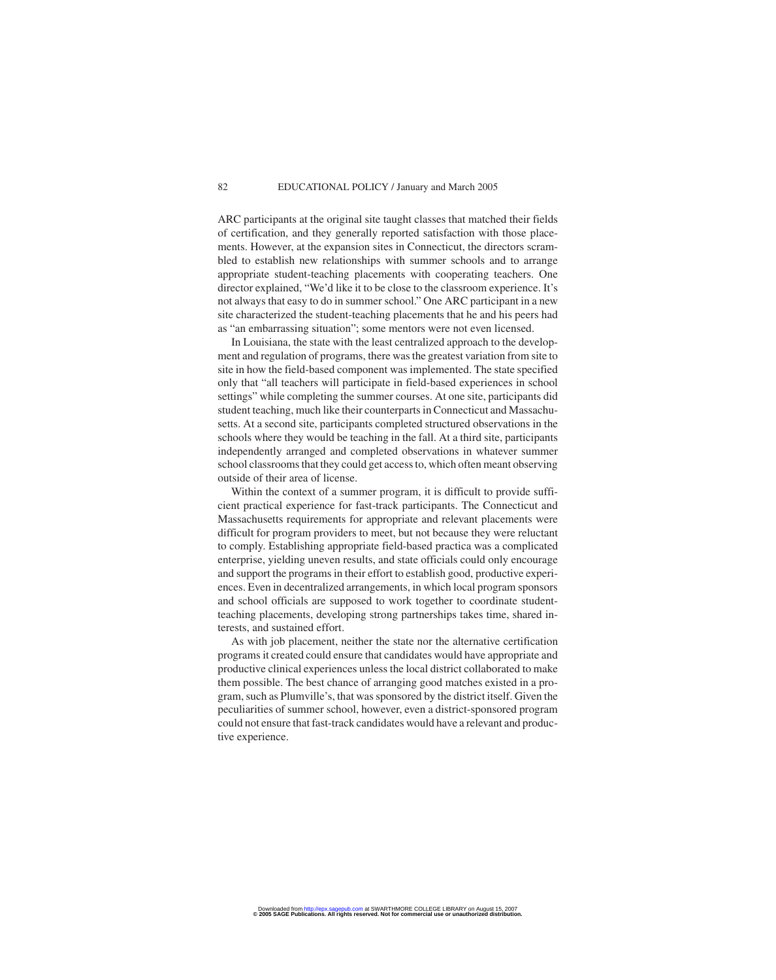ARC participants at the original site taught classes that matched their fields of certification, and they generally reported satisfaction with those placements. However, at the expansion sites in Connecticut, the directors scrambled to establish new relationships with summer schools and to arrange appropriate student-teaching placements with cooperating teachers. One director explained, "We'd like it to be close to the classroom experience. It's not always that easy to do in summer school." One ARC participant in a new site characterized the student-teaching placements that he and his peers had as "an embarrassing situation"; some mentors were not even licensed.

In Louisiana, the state with the least centralized approach to the development and regulation of programs, there was the greatest variation from site to site in how the field-based component was implemented. The state specified only that "all teachers will participate in field-based experiences in school settings" while completing the summer courses. At one site, participants did student teaching, much like their counterparts in Connecticut and Massachusetts. At a second site, participants completed structured observations in the schools where they would be teaching in the fall. At a third site, participants independently arranged and completed observations in whatever summer school classrooms that they could get access to, which often meant observing outside of their area of license.

Within the context of a summer program, it is difficult to provide sufficient practical experience for fast-track participants. The Connecticut and Massachusetts requirements for appropriate and relevant placements were difficult for program providers to meet, but not because they were reluctant to comply. Establishing appropriate field-based practica was a complicated enterprise, yielding uneven results, and state officials could only encourage and support the programs in their effort to establish good, productive experiences. Even in decentralized arrangements, in which local program sponsors and school officials are supposed to work together to coordinate studentteaching placements, developing strong partnerships takes time, shared interests, and sustained effort.

As with job placement, neither the state nor the alternative certification programs it created could ensure that candidates would have appropriate and productive clinical experiences unless the local district collaborated to make them possible. The best chance of arranging good matches existed in a program, such as Plumville's, that was sponsored by the district itself. Given the peculiarities of summer school, however, even a district-sponsored program could not ensure that fast-track candidates would have a relevant and productive experience.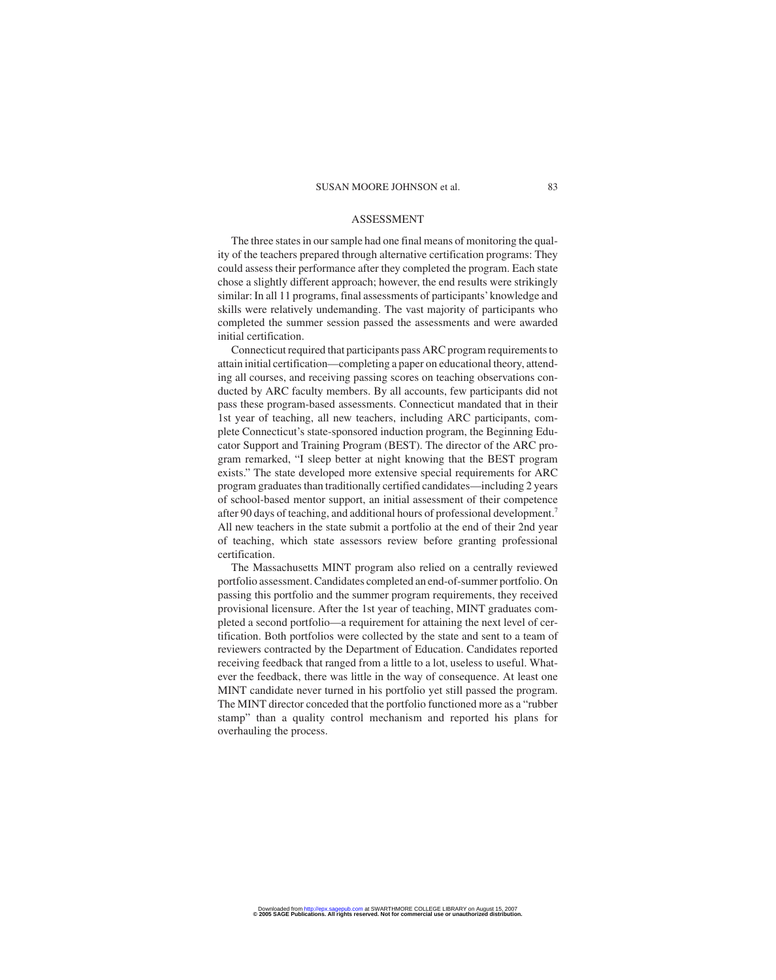#### ASSESSMENT

The three states in our sample had one final means of monitoring the quality of the teachers prepared through alternative certification programs: They could assess their performance after they completed the program. Each state chose a slightly different approach; however, the end results were strikingly similar: In all 11 programs, final assessments of participants'knowledge and skills were relatively undemanding. The vast majority of participants who completed the summer session passed the assessments and were awarded initial certification.

Connecticut required that participants pass ARC program requirements to attain initial certification—completing a paper on educational theory, attending all courses, and receiving passing scores on teaching observations conducted by ARC faculty members. By all accounts, few participants did not pass these program-based assessments. Connecticut mandated that in their 1st year of teaching, all new teachers, including ARC participants, complete Connecticut's state-sponsored induction program, the Beginning Educator Support and Training Program (BEST). The director of the ARC program remarked, "I sleep better at night knowing that the BEST program exists." The state developed more extensive special requirements for ARC program graduates than traditionally certified candidates—including 2 years of school-based mentor support, an initial assessment of their competence after 90 days of teaching, and additional hours of professional development.<sup>7</sup> All new teachers in the state submit a portfolio at the end of their 2nd year of teaching, which state assessors review before granting professional certification.

The Massachusetts MINT program also relied on a centrally reviewed portfolio assessment. Candidates completed an end-of-summer portfolio. On passing this portfolio and the summer program requirements, they received provisional licensure. After the 1st year of teaching, MINT graduates completed a second portfolio—a requirement for attaining the next level of certification. Both portfolios were collected by the state and sent to a team of reviewers contracted by the Department of Education. Candidates reported receiving feedback that ranged from a little to a lot, useless to useful. Whatever the feedback, there was little in the way of consequence. At least one MINT candidate never turned in his portfolio yet still passed the program. The MINT director conceded that the portfolio functioned more as a "rubber stamp" than a quality control mechanism and reported his plans for overhauling the process.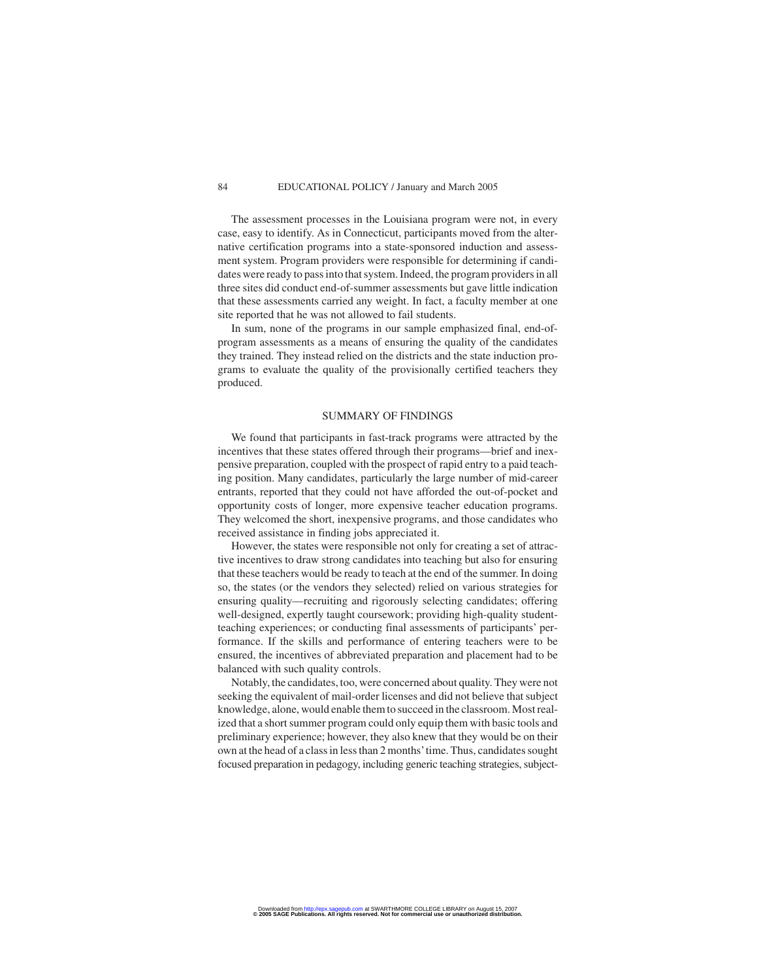The assessment processes in the Louisiana program were not, in every case, easy to identify. As in Connecticut, participants moved from the alternative certification programs into a state-sponsored induction and assessment system. Program providers were responsible for determining if candidates were ready to pass into that system. Indeed, the program providers in all three sites did conduct end-of-summer assessments but gave little indication that these assessments carried any weight. In fact, a faculty member at one site reported that he was not allowed to fail students.

In sum, none of the programs in our sample emphasized final, end-ofprogram assessments as a means of ensuring the quality of the candidates they trained. They instead relied on the districts and the state induction programs to evaluate the quality of the provisionally certified teachers they produced.

#### SUMMARY OF FINDINGS

We found that participants in fast-track programs were attracted by the incentives that these states offered through their programs—brief and inexpensive preparation, coupled with the prospect of rapid entry to a paid teaching position. Many candidates, particularly the large number of mid-career entrants, reported that they could not have afforded the out-of-pocket and opportunity costs of longer, more expensive teacher education programs. They welcomed the short, inexpensive programs, and those candidates who received assistance in finding jobs appreciated it.

However, the states were responsible not only for creating a set of attractive incentives to draw strong candidates into teaching but also for ensuring that these teachers would be ready to teach at the end of the summer. In doing so, the states (or the vendors they selected) relied on various strategies for ensuring quality—recruiting and rigorously selecting candidates; offering well-designed, expertly taught coursework; providing high-quality studentteaching experiences; or conducting final assessments of participants' performance. If the skills and performance of entering teachers were to be ensured, the incentives of abbreviated preparation and placement had to be balanced with such quality controls.

Notably, the candidates, too, were concerned about quality. They were not seeking the equivalent of mail-order licenses and did not believe that subject knowledge, alone, would enable them to succeed in the classroom. Most realized that a short summer program could only equip them with basic tools and preliminary experience; however, they also knew that they would be on their own at the head of a class in less than 2 months'time. Thus, candidates sought focused preparation in pedagogy, including generic teaching strategies, subject-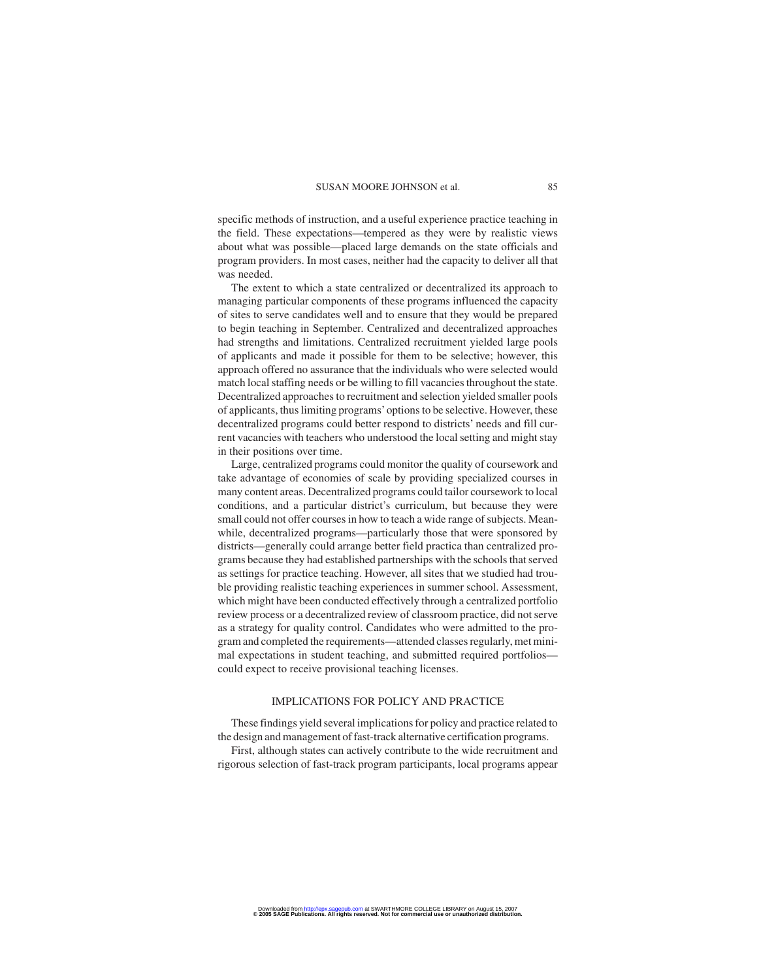specific methods of instruction, and a useful experience practice teaching in the field. These expectations—tempered as they were by realistic views about what was possible—placed large demands on the state officials and program providers. In most cases, neither had the capacity to deliver all that was needed.

The extent to which a state centralized or decentralized its approach to managing particular components of these programs influenced the capacity of sites to serve candidates well and to ensure that they would be prepared to begin teaching in September. Centralized and decentralized approaches had strengths and limitations. Centralized recruitment yielded large pools of applicants and made it possible for them to be selective; however, this approach offered no assurance that the individuals who were selected would match local staffing needs or be willing to fill vacancies throughout the state. Decentralized approaches to recruitment and selection yielded smaller pools of applicants, thus limiting programs'options to be selective. However, these decentralized programs could better respond to districts' needs and fill current vacancies with teachers who understood the local setting and might stay in their positions over time.

Large, centralized programs could monitor the quality of coursework and take advantage of economies of scale by providing specialized courses in many content areas. Decentralized programs could tailor coursework to local conditions, and a particular district's curriculum, but because they were small could not offer courses in how to teach a wide range of subjects. Meanwhile, decentralized programs—particularly those that were sponsored by districts—generally could arrange better field practica than centralized programs because they had established partnerships with the schools that served as settings for practice teaching. However, all sites that we studied had trouble providing realistic teaching experiences in summer school. Assessment, which might have been conducted effectively through a centralized portfolio review process or a decentralized review of classroom practice, did not serve as a strategy for quality control. Candidates who were admitted to the program and completed the requirements—attended classes regularly, met minimal expectations in student teaching, and submitted required portfolios could expect to receive provisional teaching licenses.

#### IMPLICATIONS FOR POLICY AND PRACTICE

These findings yield several implications for policy and practice related to the design and management of fast-track alternative certification programs.

First, although states can actively contribute to the wide recruitment and rigorous selection of fast-track program participants, local programs appear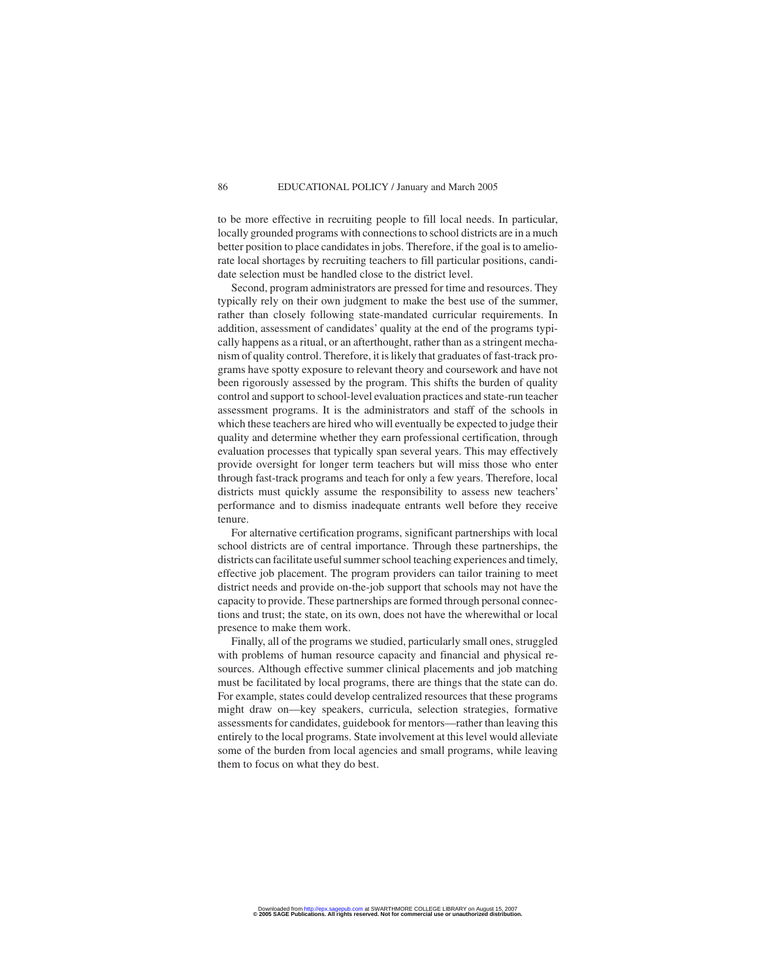to be more effective in recruiting people to fill local needs. In particular, locally grounded programs with connections to school districts are in a much better position to place candidates in jobs. Therefore, if the goal is to ameliorate local shortages by recruiting teachers to fill particular positions, candidate selection must be handled close to the district level.

Second, program administrators are pressed for time and resources. They typically rely on their own judgment to make the best use of the summer, rather than closely following state-mandated curricular requirements. In addition, assessment of candidates' quality at the end of the programs typically happens as a ritual, or an afterthought, rather than as a stringent mechanism of quality control. Therefore, it is likely that graduates of fast-track programs have spotty exposure to relevant theory and coursework and have not been rigorously assessed by the program. This shifts the burden of quality control and support to school-level evaluation practices and state-run teacher assessment programs. It is the administrators and staff of the schools in which these teachers are hired who will eventually be expected to judge their quality and determine whether they earn professional certification, through evaluation processes that typically span several years. This may effectively provide oversight for longer term teachers but will miss those who enter through fast-track programs and teach for only a few years. Therefore, local districts must quickly assume the responsibility to assess new teachers' performance and to dismiss inadequate entrants well before they receive tenure.

For alternative certification programs, significant partnerships with local school districts are of central importance. Through these partnerships, the districts can facilitate useful summer school teaching experiences and timely, effective job placement. The program providers can tailor training to meet district needs and provide on-the-job support that schools may not have the capacity to provide. These partnerships are formed through personal connections and trust; the state, on its own, does not have the wherewithal or local presence to make them work.

Finally, all of the programs we studied, particularly small ones, struggled with problems of human resource capacity and financial and physical resources. Although effective summer clinical placements and job matching must be facilitated by local programs, there are things that the state can do. For example, states could develop centralized resources that these programs might draw on—key speakers, curricula, selection strategies, formative assessments for candidates, guidebook for mentors—rather than leaving this entirely to the local programs. State involvement at this level would alleviate some of the burden from local agencies and small programs, while leaving them to focus on what they do best.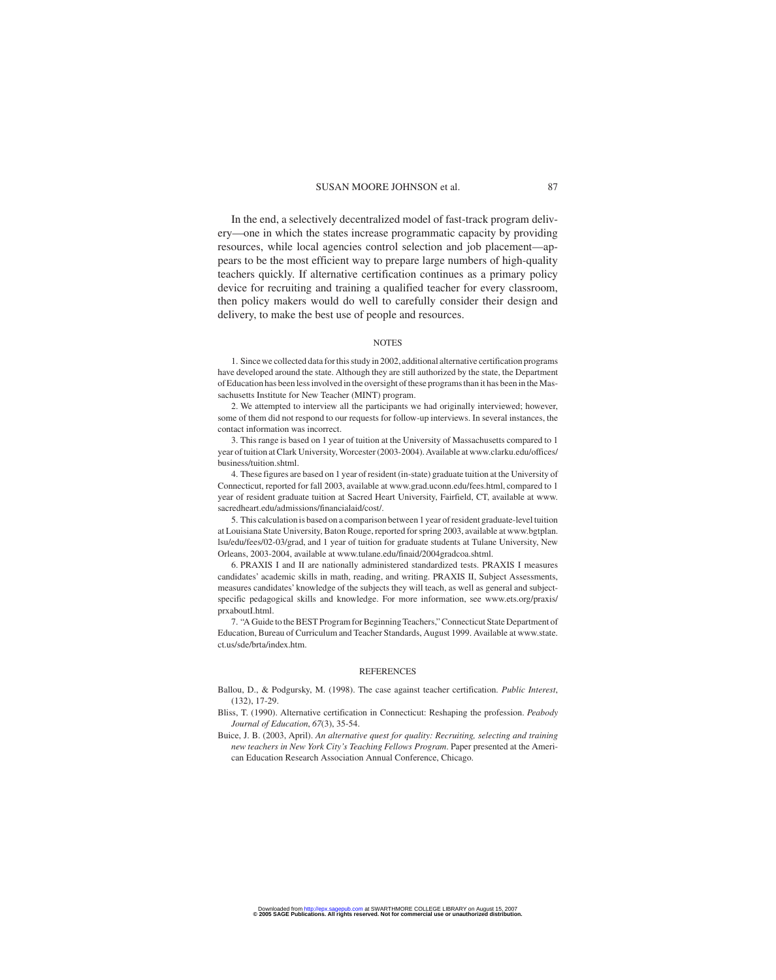In the end, a selectively decentralized model of fast-track program delivery—one in which the states increase programmatic capacity by providing resources, while local agencies control selection and job placement—appears to be the most efficient way to prepare large numbers of high-quality teachers quickly. If alternative certification continues as a primary policy device for recruiting and training a qualified teacher for every classroom, then policy makers would do well to carefully consider their design and delivery, to make the best use of people and resources.

#### NOTES

1. Since we collected data for this study in 2002, additional alternative certification programs have developed around the state. Although they are still authorized by the state, the Department of Education has been less involved in the oversight of these programs than it has been in the Massachusetts Institute for New Teacher (MINT) program.

2. We attempted to interview all the participants we had originally interviewed; however, some of them did not respond to our requests for follow-up interviews. In several instances, the contact information was incorrect.

3. This range is based on 1 year of tuition at the University of Massachusetts compared to 1 year of tuition at Clark University, Worcester (2003-2004).Available at www.clarku.edu/offices/ business/tuition.shtml.

4. These figures are based on 1 year of resident (in-state) graduate tuition at the University of Connecticut, reported for fall 2003, available at www.grad.uconn.edu/fees.html, compared to 1 year of resident graduate tuition at Sacred Heart University, Fairfield, CT, available at www. sacredheart.edu/admissions/financialaid/cost/.

5. This calculation is based on a comparison between 1 year of resident graduate-level tuition at Louisiana State University, Baton Rouge, reported for spring 2003, available at www.bgtplan. lsu/edu/fees/02-03/grad, and 1 year of tuition for graduate students at Tulane University, New Orleans, 2003-2004, available at www.tulane.edu/finaid/2004gradcoa.shtml.

6. PRAXIS I and II are nationally administered standardized tests. PRAXIS I measures candidates' academic skills in math, reading, and writing. PRAXIS II, Subject Assessments, measures candidates' knowledge of the subjects they will teach, as well as general and subjectspecific pedagogical skills and knowledge. For more information, see www.ets.org/praxis/ prxaboutI.html.

7. "A Guide to the BEST Program for Beginning Teachers," Connecticut State Department of Education, Bureau of Curriculum and Teacher Standards, August 1999. Available at www.state. ct.us/sde/brta/index.htm.

#### REFERENCES

Ballou, D., & Podgursky, M. (1998). The case against teacher certification. *Public Interest*, (132), 17-29.

- Bliss, T. (1990). Alternative certification in Connecticut: Reshaping the profession. *Peabody Journal of Education*, *67*(3), 35-54.
- Buice, J. B. (2003, April). *An alternative quest for quality: Recruiting, selecting and training new teachers in New York City's Teaching Fellows Program*. Paper presented at the American Education Research Association Annual Conference, Chicago.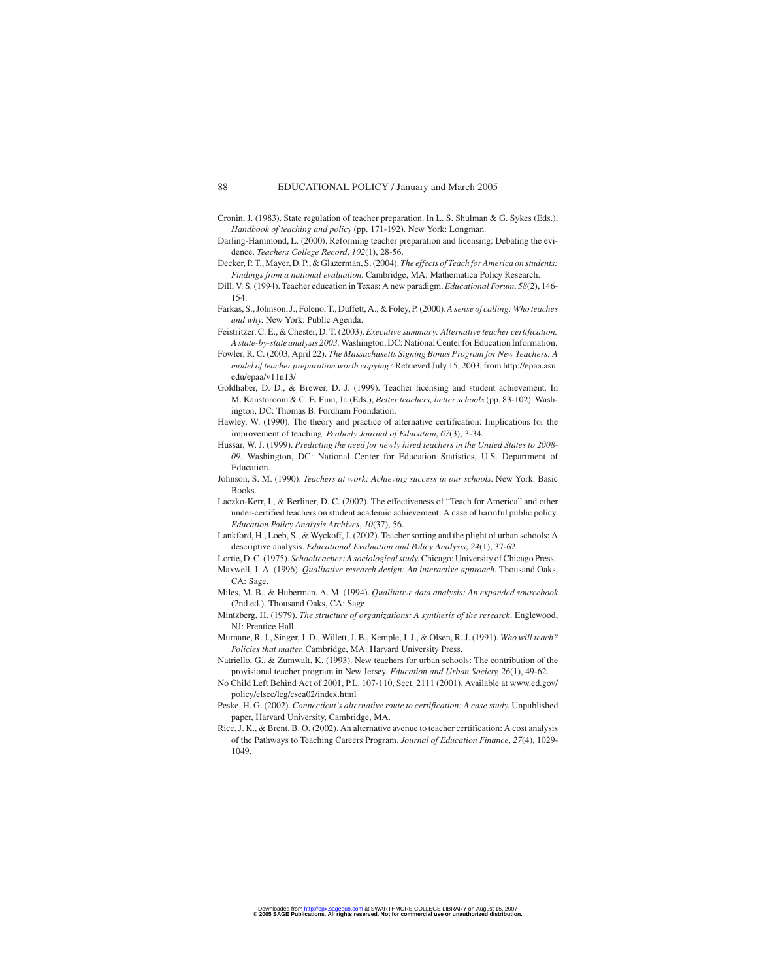- Cronin, J. (1983). State regulation of teacher preparation. In L. S. Shulman & G. Sykes (Eds.), *Handbook of teaching and policy* (pp. 171-192). New York: Longman.
- Darling-Hammond, L. (2000). Reforming teacher preparation and licensing: Debating the evidence. *Teachers College Record*, *102*(1), 28-56.
- Decker, P. T., Mayer, D. P., & Glazerman, S. (2004).*The effects of Teach for America on students: Findings from a national evaluation*. Cambridge, MA: Mathematica Policy Research.
- Dill, V. S. (1994). Teacher education in Texas: A new paradigm. *Educational Forum*, *58*(2), 146- 154.
- Farkas, S., Johnson, J., Foleno, T., Duffett, A., & Foley, P. (2000).*A sense of calling: Who teaches and why*. New York: Public Agenda.
- Feistritzer, C. E., & Chester, D. T. (2003).*Executive summary: Alternative teacher certification: A state-by-state analysis 2003*. Washington, DC: National Center for Education Information.
- Fowler, R. C. (2003, April 22). *The Massachusetts Signing Bonus Program for New Teachers: A model of teacher preparation worth copying?* Retrieved July 15, 2003, from http://epaa.asu. edu/epaa/v11n13/
- Goldhaber, D. D., & Brewer, D. J. (1999). Teacher licensing and student achievement. In M. Kanstoroom & C. E. Finn, Jr. (Eds.), *Better teachers, better schools* (pp. 83-102). Washington, DC: Thomas B. Fordham Foundation.
- Hawley, W. (1990). The theory and practice of alternative certification: Implications for the improvement of teaching. *Peabody Journal of Education*, *67*(3), 3-34.
- Hussar, W. J. (1999). *Predicting the need for newly hired teachers in the United States to 2008- 09*. Washington, DC: National Center for Education Statistics, U.S. Department of Education.
- Johnson, S. M. (1990). *Teachers at work: Achieving success in our schools*. New York: Basic Books.
- Laczko-Kerr, I., & Berliner, D. C. (2002). The effectiveness of "Teach for America" and other under-certified teachers on student academic achievement: A case of harmful public policy. *Education Policy Analysis Archives*, *10*(37), 56.
- Lankford, H., Loeb, S., & Wyckoff, J. (2002). Teacher sorting and the plight of urban schools: A descriptive analysis. *Educational Evaluation and Policy Analysis*, *24*(1), 37-62.
- Lortie, D. C. (1975). *Schoolteacher: A sociological study*. Chicago: University of Chicago Press.
- Maxwell, J. A. (1996). *Qualitative research design: An interactive approach*. Thousand Oaks, CA: Sage.
- Miles, M. B., & Huberman, A. M. (1994). *Qualitative data analysis: An expanded sourcebook* (2nd ed.). Thousand Oaks, CA: Sage.
- Mintzberg, H. (1979). *The structure of organizations: A synthesis of the research*. Englewood, NJ: Prentice Hall.
- Murnane, R. J., Singer, J. D., Willett, J. B., Kemple, J. J., & Olsen, R. J. (1991). *Who will teach? Policies that matter*. Cambridge, MA: Harvard University Press.
- Natriello, G., & Zumwalt, K. (1993). New teachers for urban schools: The contribution of the provisional teacher program in New Jersey. *Education and Urban Society*, *26*(1), 49-62.
- No Child Left Behind Act of 2001, P.L. 107-110, Sect. 2111 (2001). Available at www.ed.gov/ policy/elsec/leg/esea02/index.html
- Peske, H. G. (2002). *Connecticut's alternative route to certification: A case study*. Unpublished paper, Harvard University, Cambridge, MA.
- Rice, J. K., & Brent, B. O. (2002). An alternative avenue to teacher certification: A cost analysis of the Pathways to Teaching Careers Program. *Journal of Education Finance*, *27*(4), 1029- 1049.